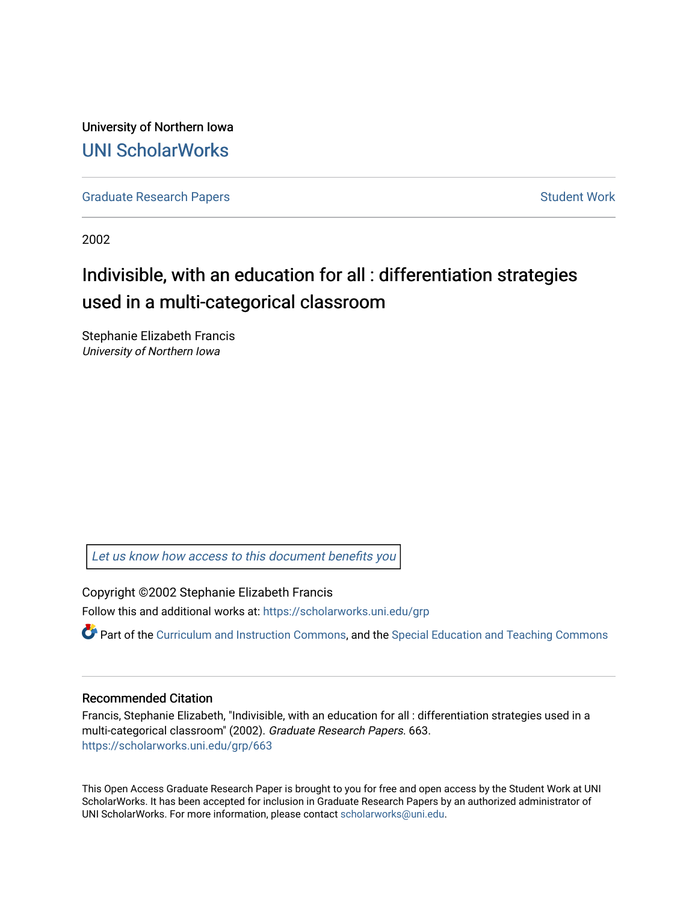University of Northern Iowa [UNI ScholarWorks](https://scholarworks.uni.edu/) 

[Graduate Research Papers](https://scholarworks.uni.edu/grp) **Student Work** Student Work

2002

# Indivisible, with an education for all : differentiation strategies used in a multi-categorical classroom

Stephanie Elizabeth Francis University of Northern Iowa

[Let us know how access to this document benefits you](https://scholarworks.uni.edu/feedback_form.html) 

Copyright ©2002 Stephanie Elizabeth Francis

Follow this and additional works at: [https://scholarworks.uni.edu/grp](https://scholarworks.uni.edu/grp?utm_source=scholarworks.uni.edu%2Fgrp%2F663&utm_medium=PDF&utm_campaign=PDFCoverPages) 

Part of the [Curriculum and Instruction Commons,](http://network.bepress.com/hgg/discipline/786?utm_source=scholarworks.uni.edu%2Fgrp%2F663&utm_medium=PDF&utm_campaign=PDFCoverPages) and the Special Education and Teaching Commons

### Recommended Citation

Francis, Stephanie Elizabeth, "Indivisible, with an education for all : differentiation strategies used in a multi-categorical classroom" (2002). Graduate Research Papers. 663. [https://scholarworks.uni.edu/grp/663](https://scholarworks.uni.edu/grp/663?utm_source=scholarworks.uni.edu%2Fgrp%2F663&utm_medium=PDF&utm_campaign=PDFCoverPages) 

This Open Access Graduate Research Paper is brought to you for free and open access by the Student Work at UNI ScholarWorks. It has been accepted for inclusion in Graduate Research Papers by an authorized administrator of UNI ScholarWorks. For more information, please contact [scholarworks@uni.edu.](mailto:scholarworks@uni.edu)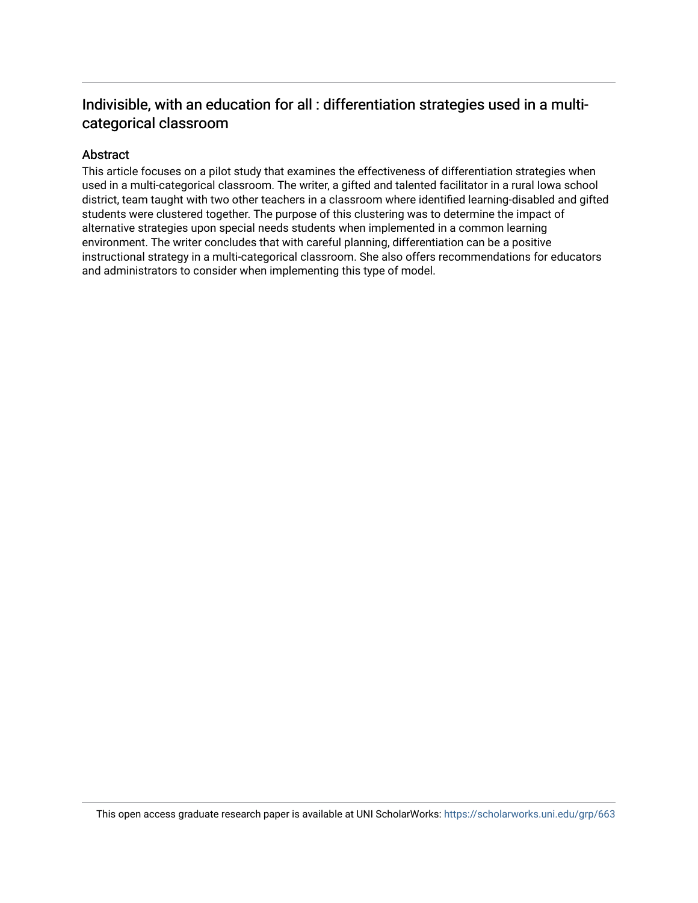# Indivisible, with an education for all : differentiation strategies used in a multicategorical classroom

# Abstract

This article focuses on a pilot study that examines the effectiveness of differentiation strategies when used in a multi-categorical classroom. The writer, a gifted and talented facilitator in a rural Iowa school district, team taught with two other teachers in a classroom where identified learning-disabled and gifted students were clustered together. The purpose of this clustering was to determine the impact of alternative strategies upon special needs students when implemented in a common learning environment. The writer concludes that with careful planning, differentiation can be a positive instructional strategy in a multi-categorical classroom. She also offers recommendations for educators and administrators to consider when implementing this type of model.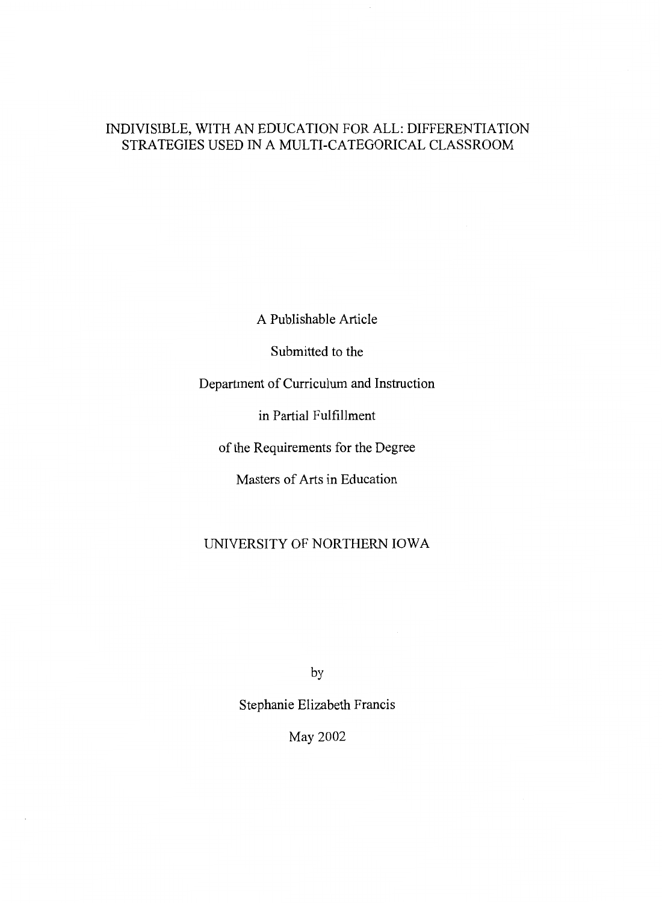# INDIVISIBLE, WITH AN EDUCATION FOR ALL: DIFFERENTIATION STRATEGIES USED IN A MULTI-CATEGORICAL CLASSROOM

A Publishable Article

Submitted to the

Department of Curriculum and Instruction

in Partial Fulfillment

of the Requirements for the Degree

Masters of Arts in Education

# UNIVERSITY OF NORTHERN IOWA

by

Stephanie Elizabeth Francis

May 2002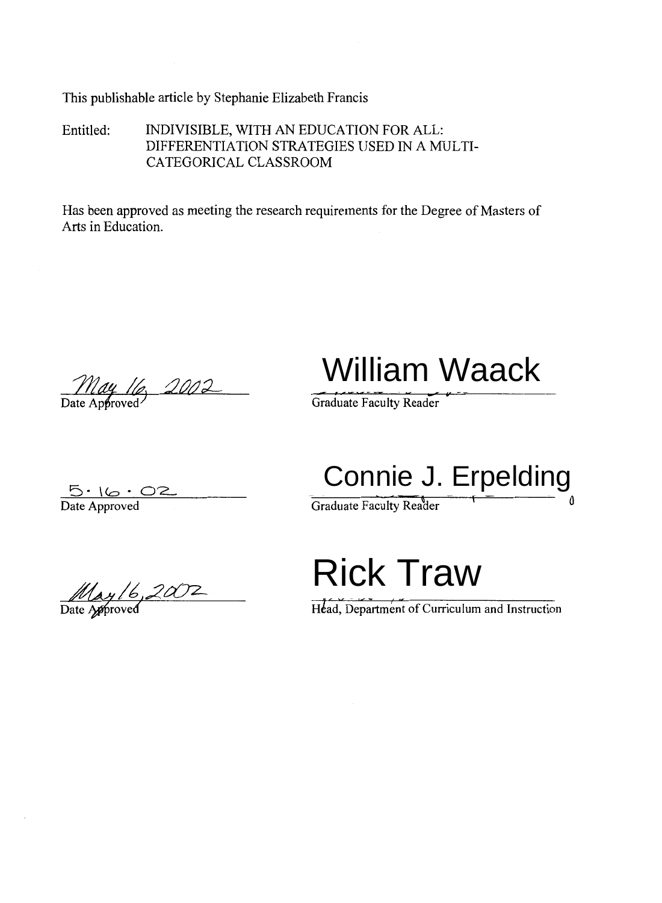This publishable article by Stephanie Elizabeth Francis

Entitled: INDIVISIBLE, WITH AN EDUCATION FOR ALL: DIFFERENTIATION STRATEGIES USED IN A MULTI-CATEGORICAL CLASSROOM

Has been approved as meeting the research requirements for the Degree of Masters of Arts in Education.

May 16, 2002

William Waack

Graduate Faculty Reader

 $5.16 \cdot 02$ 

Connie J. Erpelding

Date Approved Graduate Faculty Reader

May 16, 2002

Rick Traw

Head, Department of Curriculum and Instruction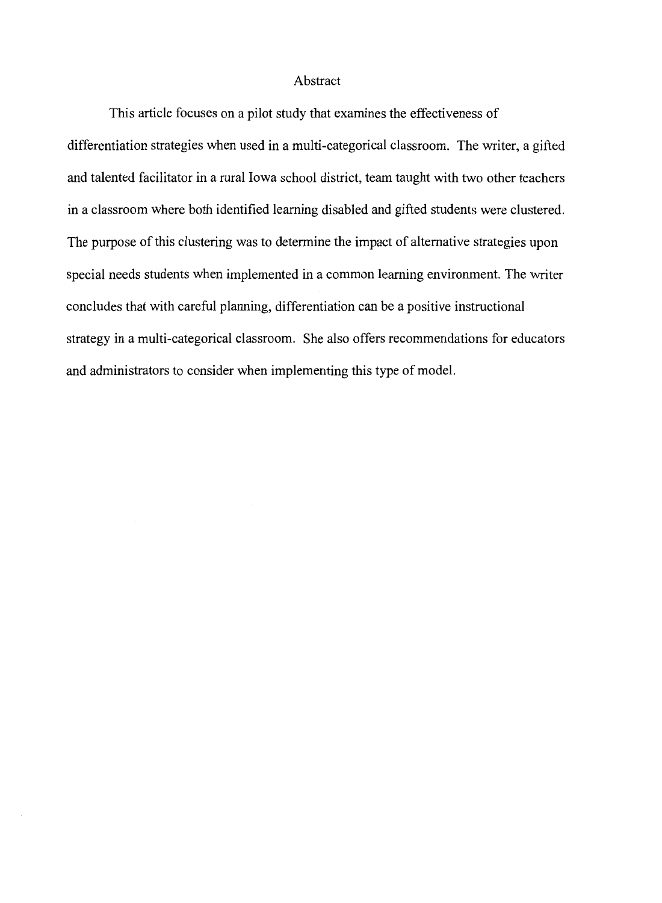## Abstract

This article focuses on a pilot study that examines the effectiveness of

differentiation strategies when used in a multi-categorical classroom. The writer, a gifted and talented facilitator in a rural Iowa school district, team taught with two other teachers in a classroom where both identified learning disabled and gifted students were clustered. The purpose of this clustering was to determine the impact of alternative strategies upon special needs students when implemented in a common learning environment. The writer concludes that with careful planning, differentiation can be a positive instructional strategy in a multi-categorical classroom. She also offers recommendations for educators and administrators to consider when implementing this type of model.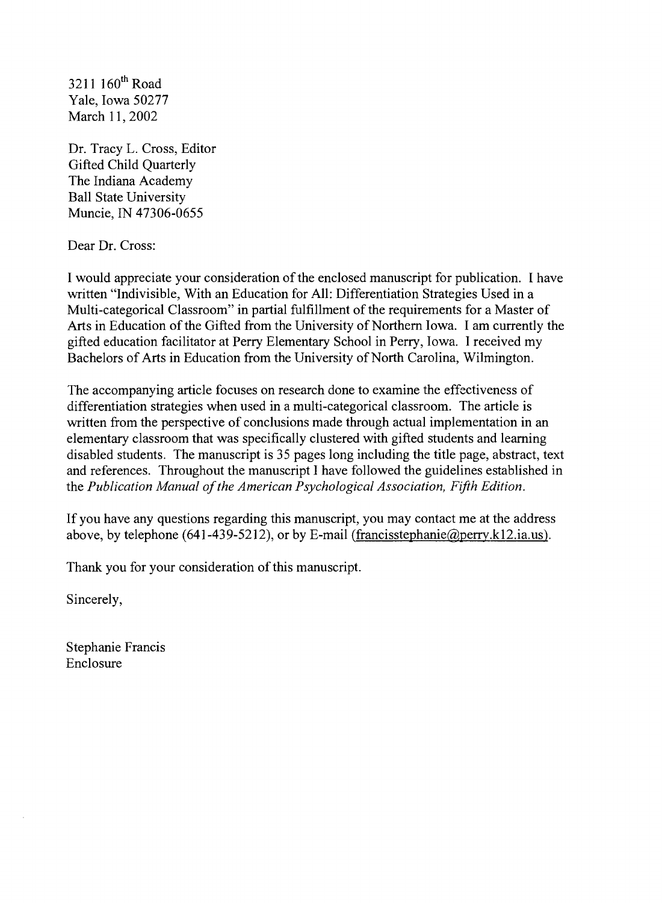$3211$   $160$ <sup>th</sup> Road Yale, Iowa 50277 March 11, 2002

Dr. Tracy L. Cross, Editor Gifted Child Quarterly The Indiana Academy Ball State University Muncie, IN 47306-0655

Dear Dr. Cross:

I would appreciate your consideration of the enclosed manuscript for publication. I have written "Indivisible, With an Education for All: Differentiation Strategies Used in a Multi-categorical Classroom" in partial fulfillment of the requirements for a Master of Arts in Education of the Gifted from the University of Northern Iowa. I am currently the gifted education facilitator at Perry Elementary School in Perry, Iowa. I received my Bachelors of Arts in Education from the University of North Carolina, Wilmington.

The accompanying article focuses on research done to examine the effectiveness of differentiation strategies when used in a multi-categorical classroom. The article is written from the perspective of conclusions made through actual implementation in an elementary classroom that was specifically clustered with gifted students and learning disabled students. The manuscript is 35 pages long including the title page, abstract, text and references. Throughout the manuscript I have followed the guidelines established in the *Publication Manual of the American Psychological Association, Fifth Edition.* 

If you have any questions regarding this manuscript, you may contact me at the address above, by telephone (641-439-5212), or by E-mail (francisstephanie@perry.k12.ia.us).

Thank you for your consideration of this manuscript.

Sincerely,

Stephanie Francis Enclosure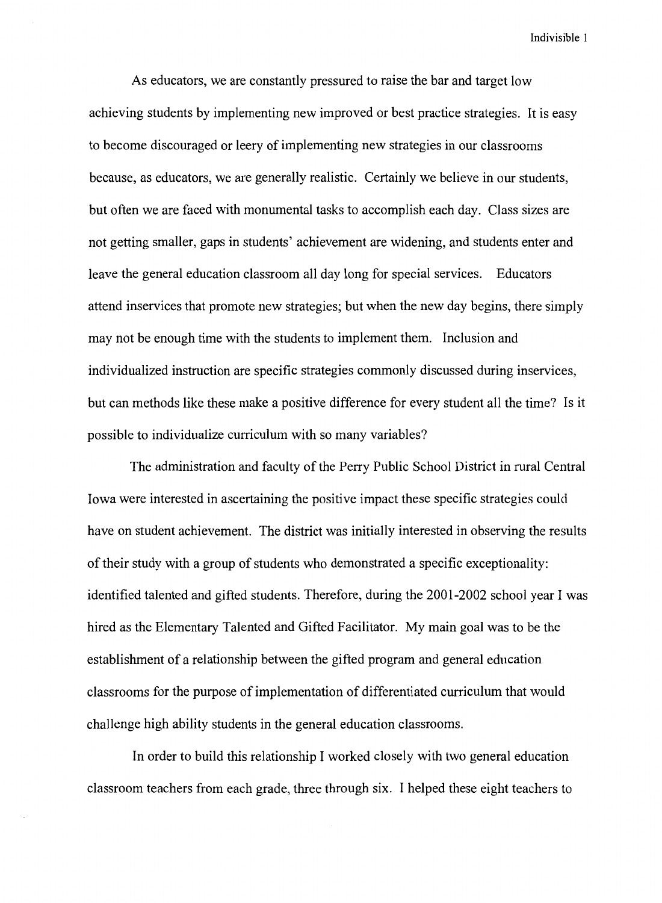As educators, we are constantly pressured to raise the bar and target low achieving students by implementing new improved or best practice strategies. It is easy to become discouraged or leery of implementing new strategies in our classrooms because, as educators, we are generally realistic. Certainly we believe in our students, but often we are faced with monumental tasks to accomplish each day. Class sizes are not getting smaller, gaps in students' achievement are widening, and students enter and leave the general education classroom all day long for special services. Educators attend inservices that promote new strategies; but when the new day begins, there simply may not be enough time with the students to implement them. Inclusion and individualized instruction are specific strategies commonly discussed during inservices, but can methods like these make a positive difference for every student all the time? Is it possible to individualize curriculum with so many variables?

The administration and faculty of the Perry Public School District in rural Central Iowa were interested in ascertaining the positive impact these specific strategies could have on student achievement. The district was initially interested in observing the results of their study with a group of students who demonstrated a specific exceptionality: identified talented and gifted students. Therefore, during the 2001-2002 school year I was hired as the Elementary Talented and Gifted Facilitator. My main goal was to be the establishment of a relationship between the gifted program and general education classrooms for the purpose of implementation of differentiated curriculum that would challenge high ability students in the general education classrooms.

In order to build this relationship I worked closely with two general education classroom teachers from each grade, three through six. I helped these eight teachers to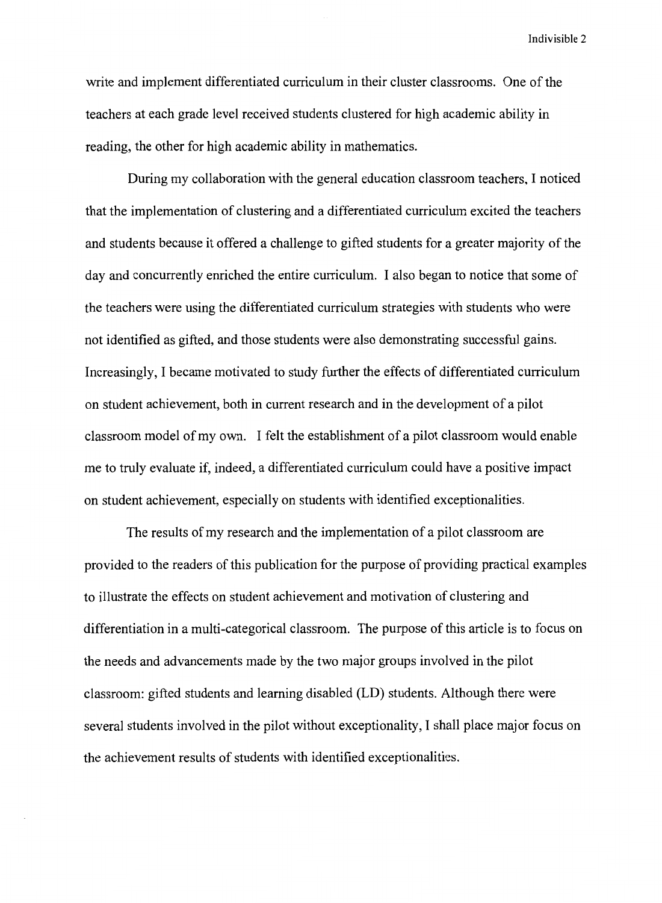write and implement differentiated curriculum in their cluster classrooms. One of the teachers at each grade level received students clustered for high academic ability in reading, the other for high academic ability in mathematics.

During my collaboration with the general education classroom teachers, I noticed that the implementation of clustering and a differentiated curriculum excited the teachers and students because it offered a challenge to gifted students for a greater majority of the day and concurrently enriched the entire curriculum. I also began to notice that some of the teachers were using the differentiated curriculum strategies with students who were not identified as gifted, and those students were also demonstrating successful gains. Increasingly, I became motivated to study further the effects of differentiated curriculum on student achievement, both in current research and in the development of a pilot classroom model of my own. I felt the establishment of a pilot classroom would enable me to truly evaluate if, indeed, a differentiated curriculum could have a positive impact on student achievement, especially on students with identified exceptionalities.

The results of my research and the implementation of a pilot classroom are provided to the readers of this publication for the purpose of providing practical examples to illustrate the effects on student achievement and motivation of clustering and differentiation in a multi-categorical classroom. The purpose of this article is to focus on the needs and advancements made by the two major groups involved in the pilot classroom: gifted students and learning disabled (LD) students. Although there were several students involved in the pilot without exceptionality, I shall place major focus on the achievement results of students with identified exceptionalities.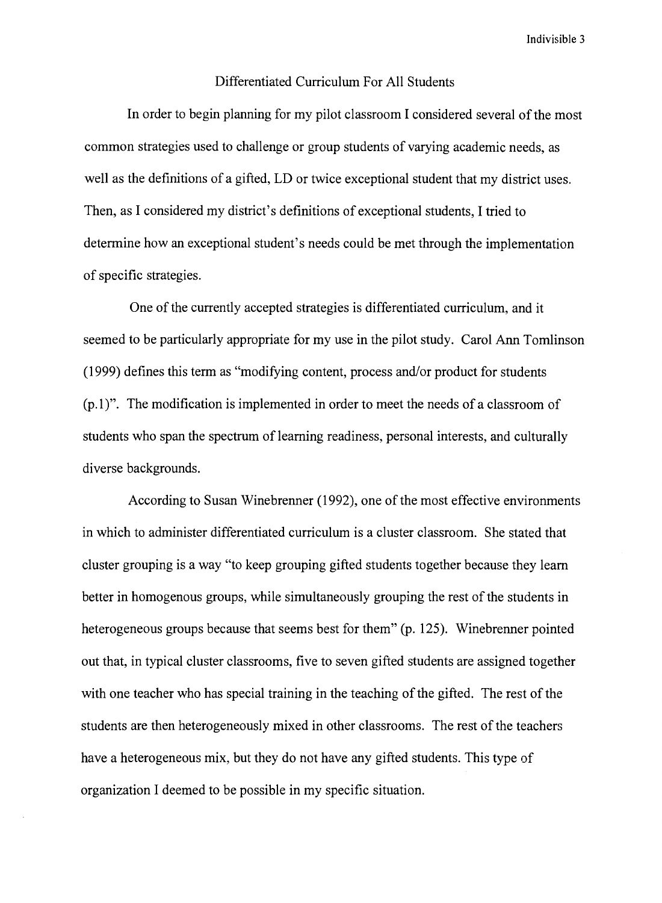#### Differentiated Curriculum For All Students

In order to begin planning for my pilot classroom I considered several of the most common strategies used to challenge or group students of varying academic needs, as well as the definitions of a gifted, LD or twice exceptional student that my district uses. Then, as I considered my district's definitions of exceptional students, I tried to determine how an exceptional student's needs could be met through the implementation of specific strategies.

One of the currently accepted strategies is differentiated curriculum, and it seemed to be particularly appropriate for my use in the pilot study. Carol Ann Tomlinson (1999) defines this term as "modifying content, process and/or product for students  $(p.1)$ ". The modification is implemented in order to meet the needs of a classroom of students who span the spectrum of learning readiness, personal interests, and culturally diverse backgrounds.

According to Susan Winebrenner (1992), one of the most effective environments in which to administer differentiated curriculum is a cluster classroom. She stated that cluster grouping is a way "to keep grouping gifted students together because they learn better in homogenous groups, while simultaneously grouping the rest of the students in heterogeneous groups because that seems best for them" (p. 125). Winebrenner pointed out that, in typical cluster classrooms, five to seven gifted students are assigned together with one teacher who has special training in the teaching of the gifted. The rest of the students are then heterogeneously mixed in other classrooms. The rest of the teachers have a heterogeneous mix, but they do not have any gifted students. This type of organization I deemed to be possible in my specific situation.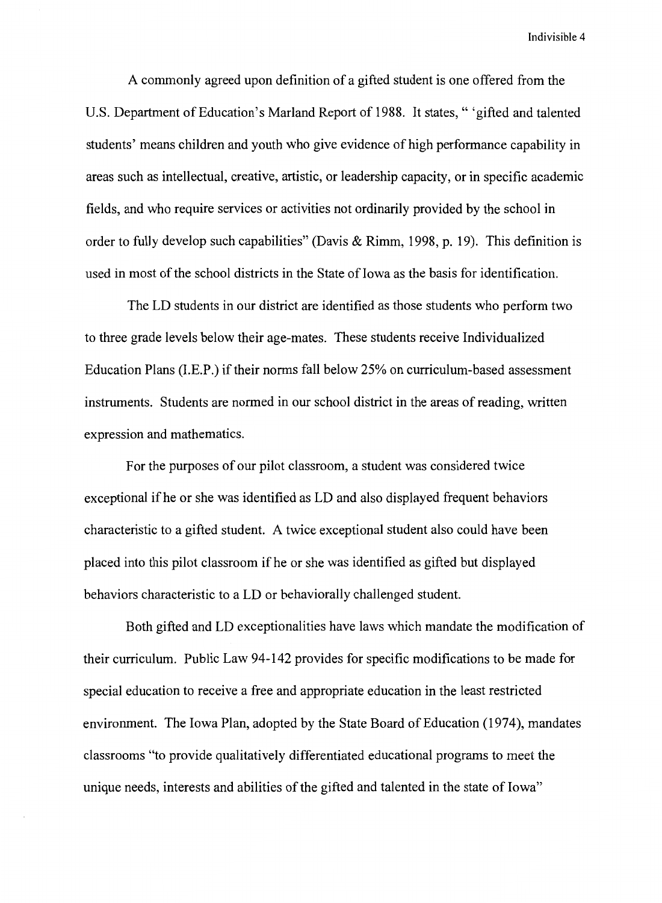A commonly agreed upon definition of a gifted student is one offered from the U.S. Department of Education's Marland Report of 1988. It states," 'gifted and talented students' means children and youth who give evidence of high performance capability in areas such as intellectual, creative, artistic, or leadership capacity, or in specific academic fields, and who require services or activities not ordinarily provided by the school in order to fully develop such capabilities" (Davis & Rimm, 1998, p. 19). This definition is used in most of the school districts in the State of Iowa as the basis for identification.

The LD students in our district are identified as those students who perform two to three grade levels below their age-mates. These students receive Individualized Education Plans (I.E.P.) if their norms fall below 25% on curriculum-based assessment instruments. Students are normed in our school district in the areas of reading, written expression and mathematics.

For the purposes of our pilot classroom, a student was considered twice exceptional if he or she was identified as LD and also displayed frequent behaviors characteristic to a gifted student. A twice exceptional student also could have been placed into this pilot classroom if he or she was identified as gifted but displayed behaviors characteristic to a LD or behaviorally challenged student.

Both gifted and LD exceptionalities have laws which mandate the modification of their curriculum. Public Law 94-142 provides for specific modifications to be made for special education to receive a free and appropriate education in the least restricted environment. The Iowa Plan, adopted by the State Board of Education (1974), mandates classrooms "to provide qualitatively differentiated educational programs to meet the unique needs, interests and abilities of the gifted and talented in the state of Iowa"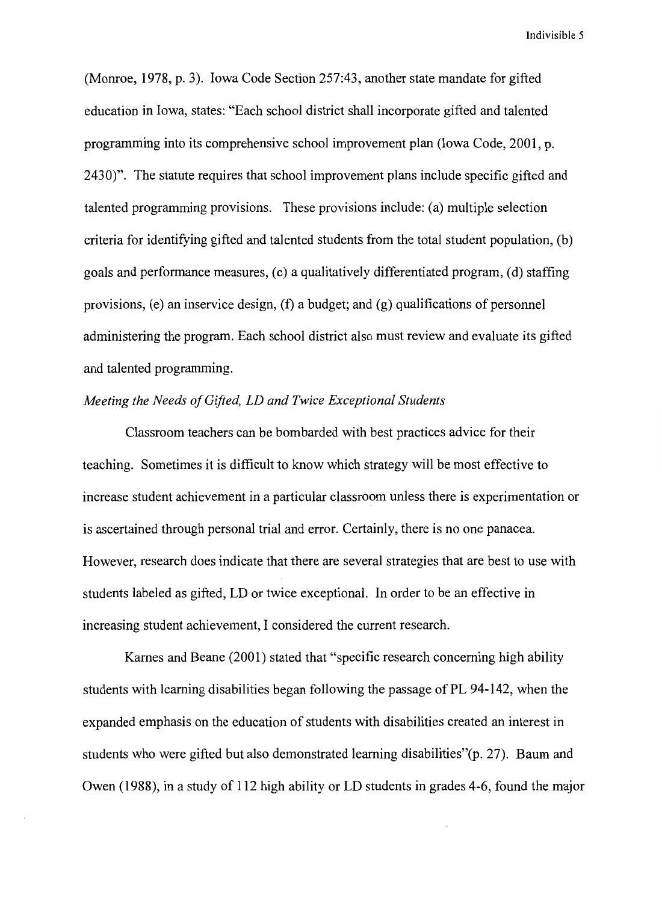(Momoe, 1978, p. 3). Iowa Code Section 257:43, another state mandate for gifted education in Iowa, states: "Each school district shall incorporate gifted and talented programming into its comprehensive school improvement plan (Iowa Code, 2001, p. 2430)". The statute requires that school improvement plans include specific gifted and talented programming provisions. These provisions include: (a) multiple selection criteria for identifying gifted and talented students from the total student population, (b) goals and performance measures, (c) a qualitatively differentiated program, (d) staffing provisions, (e) an inservice design,  $(f)$  a budget; and  $(g)$  qualifications of personnel administering the program. Each school district also must review and evaluate its gifted and talented programming.

#### *Meeting the Needs of Gifted, LD and Twice Exceptional Students*

Classroom teachers can be bombarded with best practices advice for their teaching. Sometimes it is difficult to know which strategy will be most effective to increase student achievement in a particular classroom unless there is experimentation or is ascertained through personal trial and error. Certainly, there is no one panacea. However, research does indicate that there are several strategies that are best to use with students labeled as gifted, LD or twice exceptional. In order to be an effective in increasing student achievement, I considered the current research.

Karnes and Beane (2001) stated that "specific research concerning high ability students with learning disabilities began following the passage of PL 94-142, when the expanded emphasis on the education of students with disabilities created an interest in students who were gifted but also demonstrated learning disabilities"(p. 27). Baum and Owen (1988), in a study of 112 high ability or LD students in grades 4-6, found the major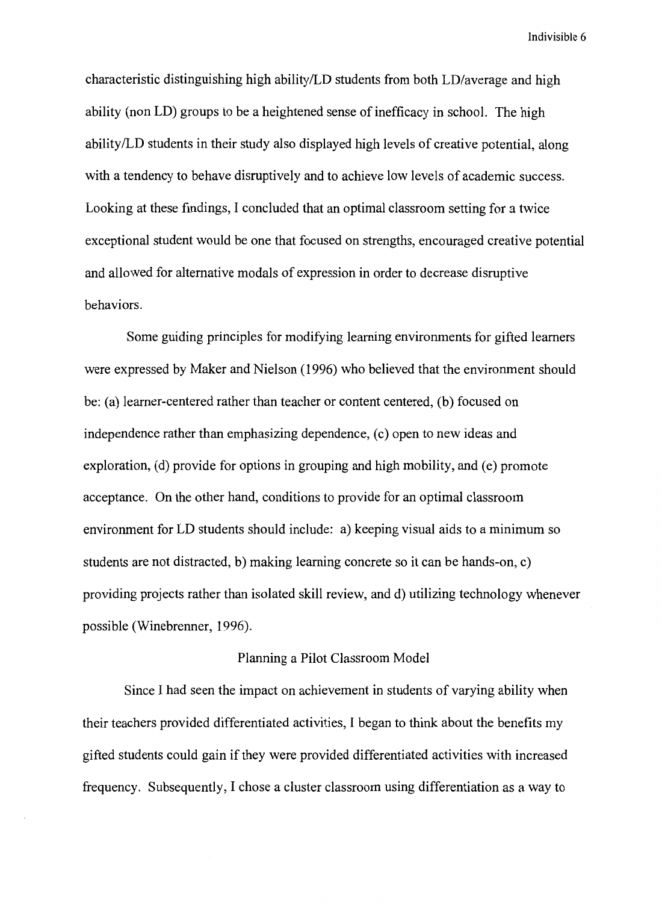characteristic distinguishing high ability/LD students from both LD/average and high ability (non LD) groups to be a heightened sense of inefficacy in school. The high ability/LD students in their study also displayed high levels of creative potential, along with a tendency to behave disruptively and to achieve low levels of academic success. Looking at these findings, I concluded that an optimal classroom setting for a twice exceptional student would be one that focused on strengths, encouraged creative potential and allowed for alternative modals of expression in order to decrease disruptive behaviors.

Some guiding principles for modifying learning environments for gifted learners were expressed by Maker and Nielson (1996) who believed that the environment should be: (a) learner-centered rather than teacher or content centered, (b) focused on independence rather than emphasizing dependence, (c) open to new ideas and exploration, (d) provide for options in grouping and high mobility, and (e) promote acceptance. On the other hand, conditions to provide for an optimal classroom environment for LD students should include: a) keeping visual aids to a minimum so students are not distracted, b) making learning concrete so it can be hands-on, c) providing projects rather than isolated skill review, and d) utilizing technology whenever possible (Winebrenner, 1996).

## Planning a Pilot Classroom Model

Since I had seen the impact on achievement in students of varying ability when their teachers provided differentiated activities, I began to think about the benefits my gifted students could gain if they were provided differentiated activities with increased frequency. Subsequently, I chose a cluster classroom using differentiation as a way to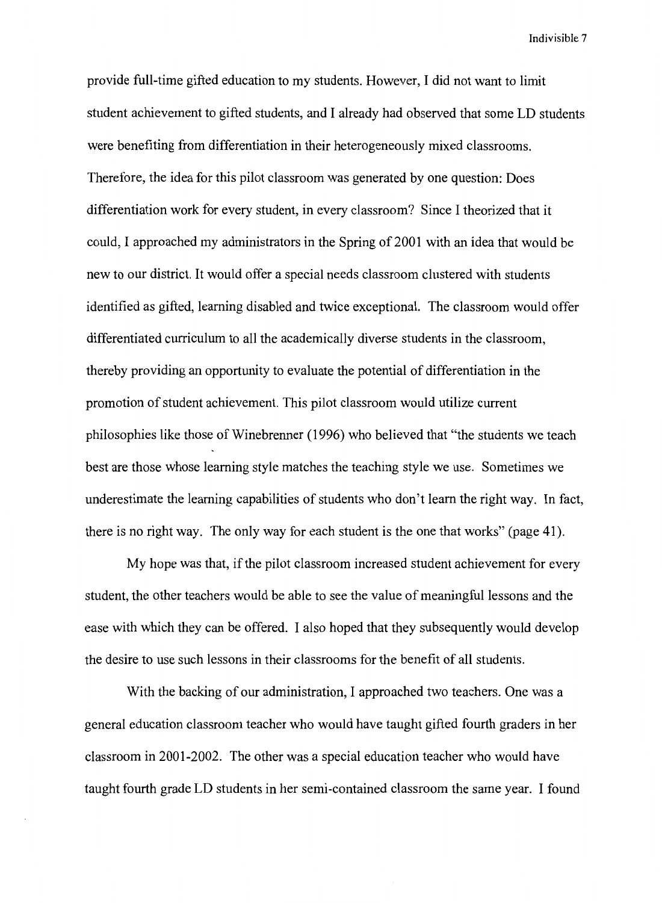provide full-time gifted education to my students. However, I did not want to limit student achievement to gifted students, and I already had observed that some LD students were benefiting from differentiation in their heterogeneously mixed classrooms. Therefore, the idea for this pilot classroom was generated by one question: Does differentiation work for every student, in every classroom? Since I theorized that it could, I approached my administrators in the Spring of 2001 with an idea that would be new to our district. It would offer a special needs classroom clustered with students identified as gifted, learning disabled and twice exceptional. The classroom would offer differentiated curriculum to all the academically diverse students in the classroom, thereby providing an opportunity to evaluate the potential of differentiation in the promotion of student achievement. This pilot classroom would utilize current philosophies like those of Winebrenner (1996) who believed that "the students we teach best are those whose learning style matches the teaching style we use. Sometimes we underestimate the learning capabilities of students who don't learn the right way. In fact, there is no right way. The only way for each student is the one that works" (page 41).

My hope was that, if the pilot classroom increased student achievement for every student, the other teachers would be able to see the value of meaningful lessons and the ease with which they can be offered. I also hoped that they subsequently would develop the desire to use such lessons in their classrooms for the benefit of all students.

With the backing of our administration, I approached two teachers. One was a general education classroom teacher who would have taught gifted fourth graders in her classroom in 2001-2002. The other was a special education teacher who would have taught fourth grade LD students in her semi-contained classroom the same year. I found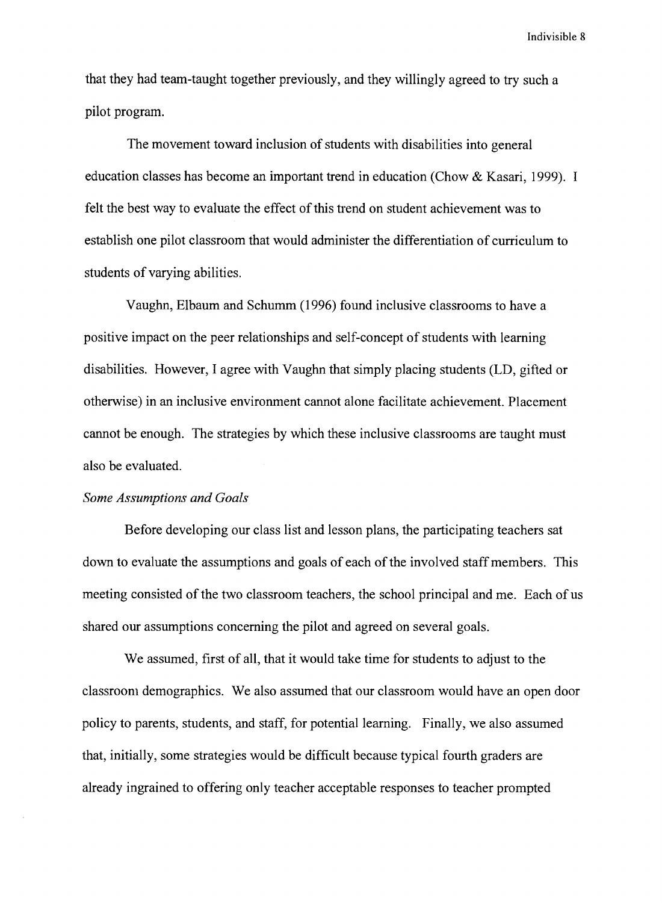that they had team-taught together previously, and they willingly agreed to try such a pilot program.

The movement toward inclusion of students with disabilities into general education classes has become an important trend in education (Chow & Kasari, 1999). I felt the best way to evaluate the effect of this trend on student achievement was to establish one pilot classroom that would administer the differentiation of curriculum to students of varying abilities.

Vaughn, Elbaum and Schumm (1996) found inclusive classrooms to have a positive impact on the peer relationships and self-concept of students with learning disabilities. However, I agree with Vaughn that simply placing students (LD, gifted or otherwise) in an inclusive environment cannot alone facilitate achievement. Placement cannot be enough. The strategies by which these inclusive classrooms are taught must also be evaluated.

#### *Some Assumptions and Goals*

Before developing our class list and lesson plans, the participating teachers sat down to evaluate the assumptions and goals of each of the involved staff members. This meeting consisted of the two classroom teachers, the school principal and me. Each of us shared our assumptions concerning the pilot and agreed on several goals.

We assumed, first of all, that it would take time for students to adjust to the classroom demographics. We also assumed that our classroom would have an open door policy to parents, students, and staff, for potential learning. Finally, we also assumed that, initially, some strategies would be difficult because typical fourth graders are already ingrained to offering only teacher acceptable responses to teacher prompted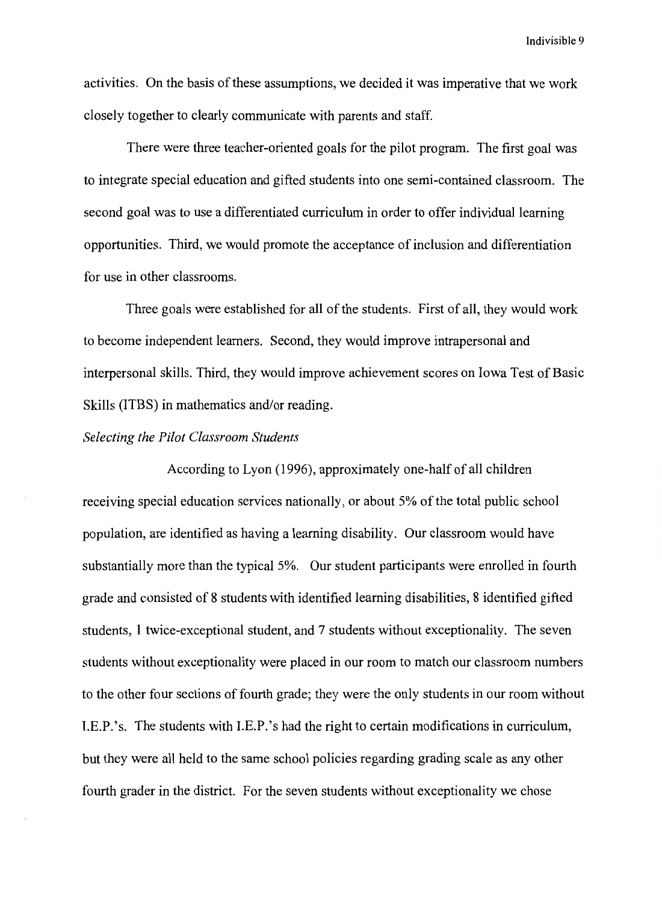activities. On the basis of these assumptions, we decided it was imperative that we work closely together to clearly communicate with parents and staff.

There were three teacher-oriented goals for the pilot program. The first goal was to integrate special education and gifted students into one semi-contained classroom. The second goal was to use a differentiated curriculum in order to offer individual learning opportunities. Third, we would promote the acceptance of inclusion and differentiation for use in other classrooms.

Three goals were established for all of the students. First of all, they would work to become independent learners. Second, they would improve intrapersonal and interpersonal skills. Third, they would improve achievement scores on Iowa Test of Basic Skills (ITBS) in mathematics and/or reading.

#### *Selecting the Pilot Classroom Students*

According to Lyon (1996), approximately one-half of all children receiving special education services nationally, or about 5% of the total public school population, are identified as having a learning disability. Our classroom would have substantially more than the typical 5%. Our student participants were enrolled in fourth grade and consisted of 8 students with identified learning disabilities, 8 identified gifted students, I twice-exceptional student, and 7 students without exceptionality. The seven students without exceptionality were placed in our room to match our classroom numbers to the other four sections of fourth grade; they were the only students in our room without I.E.P.'s. The students with I.E.P.'s had the right to certain modifications in curriculum, but they were all held to the same school policies regarding grading scale as any other fourth grader in the district. For the seven students without exceptionality we chose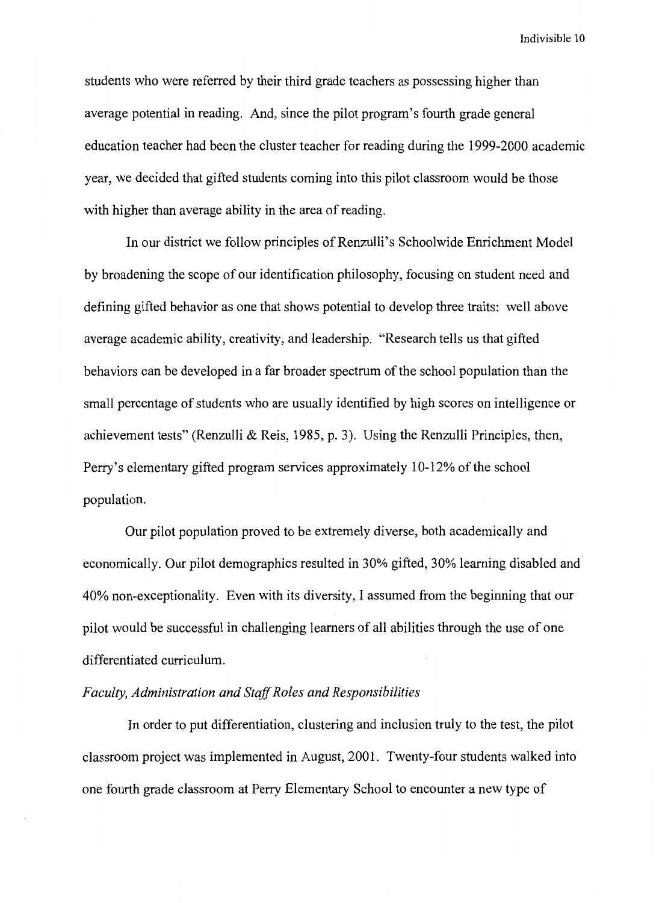students who were referred by their third grade teachers as possessing higher than average potential in reading. And, since the pilot program's fourth grade general education teacher had been the cluster teacher for reading during the 1999-2000 academic year, we decided that gifted students coming into this pilot classroom would be those with higher than average ability in the area of reading.

In our district we follow principles of Renzulli's Schoolwide Enrichment Model by broadening the scope of our identification philosophy, focusing on student need and defining gifted behavior as one that shows potential to develop three traits: well above average academic ability, creativity, and leadership. "Research tells us that gifted behaviors can be developed in a far broader spectrum of the school population than the small percentage of students who are usually identified by high scores on intelligence or achievement tests" (Renzulli & Reis, 1985, p. 3). Using the Renzulli Principles, then, Perry's elementary gifted program services approximately 10-12% of the school population.

Our pilot population proved to be extremely diverse, both academically and economically. Our pilot demographics resulted in 30% gifted, 30% learning disabled and 40% non-exceptionality. Even with its diversity, I assumed from the beginning that our pilot would be successful in challenging learners of all abilities through the use of one differentiated curriculum.

### *Faculty, Administration and Staff Roles and Responsibilities*

In order to put differentiation, clustering and inclusion truly to the test, the pilot classroom project was implemented in August, 2001. Twenty-four students walked into one fourth grade classroom at Perry Elementary School to encounter a new type of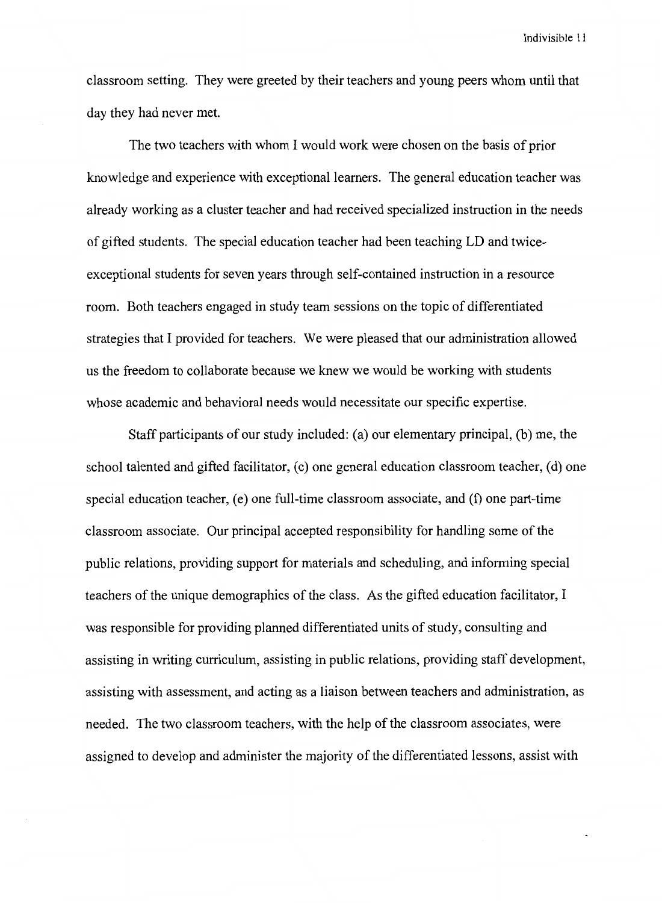classroom setting. They were greeted by their teachers and young peers whom until that day they had never met.

The two teachers with whom I would work were chosen on the basis of prior knowledge and experience with exceptional learners. The general education teacher was already working as a cluster teacher and had received specialized instruction in the needs of gifted students. The special education teacher had been teaching LD and twiceexceptional students for seven years through self-contained instruction in a resource room. Both teachers engaged in study team sessions on the topic of differentiated strategies that I provided for teachers. We were pleased that our administration allowed us the freedom to collaborate because we knew we would be working with students whose academic and behavioral needs would necessitate our specific expertise.

Staff participants of our study included: (a) our elementary principal, (b) me, the school talented and gifted facilitator, (c) one general education classroom teacher, (d) one special education teacher, (e) one full-time classroom associate, and (f) one part-time classroom associate. Our principal accepted responsibility for handling some of the public relations, providing support for materials and scheduling, and informing special teachers of the unique demographics of the class. As the gifted education facilitator, I was responsible for providing planned differentiated units of study, consulting and assisting in writing curriculum, assisting in public relations, providing staff development, assisting with assessment, and acting as a liaison between teachers and administration, as needed. The two classroom teachers, with the help of the classroom associates, were assigned to develop and administer the majority of the differentiated lessons, assist with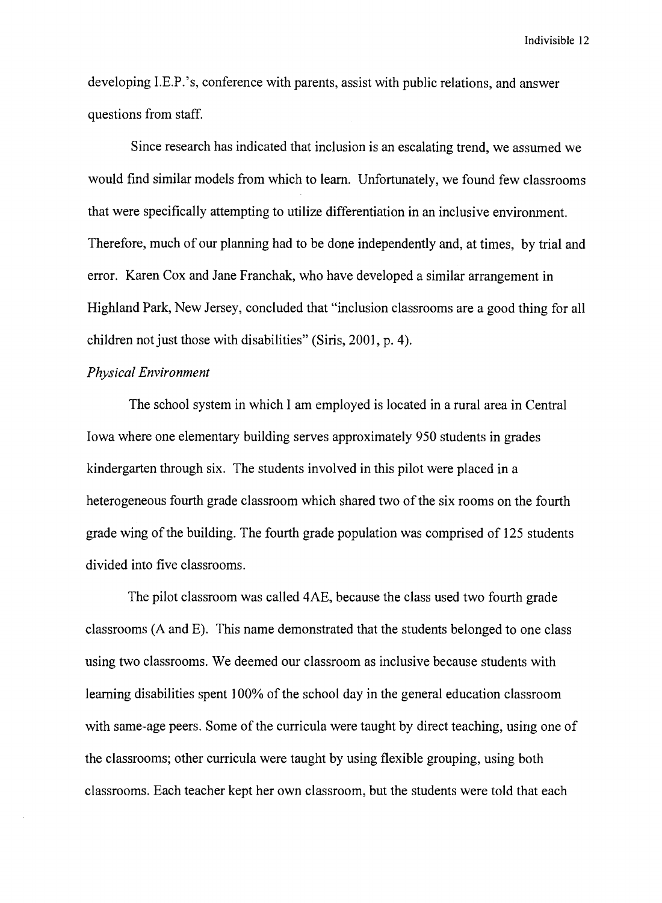developing I.E.P.' s, conference with parents, assist with public relations, and answer questions from staff.

Since research has indicated that inclusion is an escalating trend, we assumed we would find similar models from which to learn. Unfortunately, we found few classrooms that were specifically attempting to utilize differentiation in an inclusive environment. Therefore, much of our planning had to be done independently and, at times, by trial and error. Karen Cox and Jane Franchak, who have developed a similar arrangement in Highland Park, New Jersey, concluded that "inclusion classrooms are a good thing for all children not just those with disabilities" (Siris, 2001, p. 4).

# *Physical Environment*

The school system in which I am employed is located in a rural area in Central Iowa where one elementary building serves approximately 950 students in grades kindergarten through six. The students involved in this pilot were placed in a heterogeneous fourth grade classroom which shared two of the six rooms on the fourth grade wing of the building. The fourth grade population was comprised of 125 students divided into five classrooms.

The pilot classroom was called 4AE, because the class used two fourth grade classrooms (A and E). This name demonstrated that the students belonged to one class using two classrooms. We deemed our classroom as inclusive because students with learning disabilities spent 100% of the school day in the general education classroom with same-age peers. Some of the curricula were taught by direct teaching, using one of the classrooms; other curricula were taught by using flexible grouping, using both classrooms. Each teacher kept her own classroom, but the students were told that each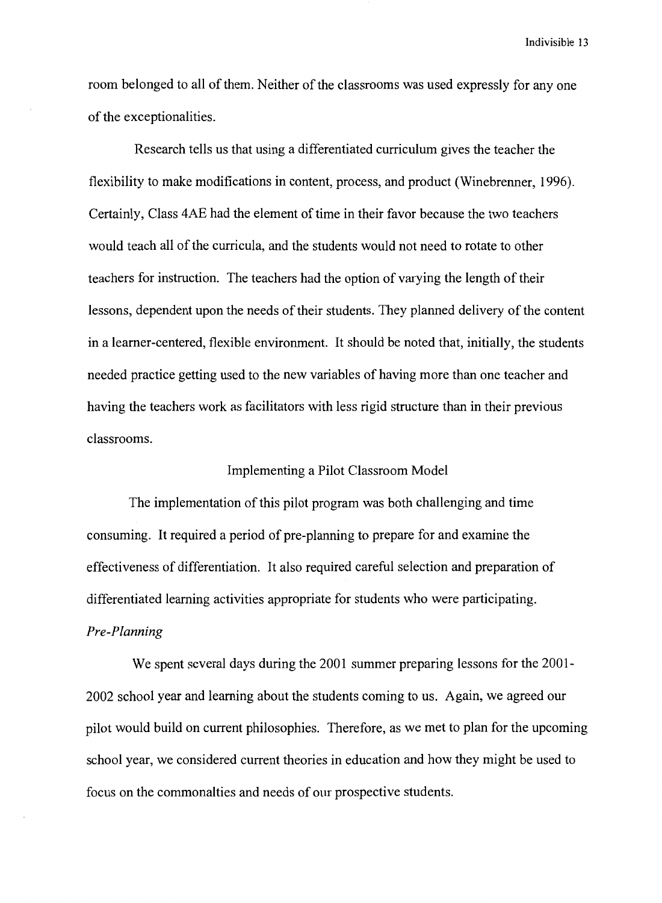room belonged to all of them. Neither of the classrooms was used expressly for any one of the exceptionalities.

Research tells us that using a differentiated curriculum gives the teacher the flexibility to make modifications in content, process, and product (Winebrenner, 1996). Certainly, Class 4AE had the element of time in their favor because the two teachers would teach all of the curricula, and the students would not need to rotate to other teachers for instruction. The teachers had the option of varying the length of their lessons, dependent upon the needs of their students. They planned delivery of the content in a learner-centered, flexible environment. It should be noted that, initially, the students needed practice getting used to the new variables of having more than one teacher and having the teachers work as facilitators with less rigid structure than in their previous classrooms.

#### Implementing a Pilot Classroom Model

The implementation of this pilot program was both challenging and time consuming. It required a period of pre-planning to prepare for and examine the effectiveness of differentiation. It also required careful selection and preparation of differentiated learning activities appropriate for students who were participating. *Pre-Planning* 

We spent several days during the 2001 summer preparing lessons for the 2001- 2002 school year and learning about the students coming to us. Again, we agreed our pilot would build on current philosophies. Therefore, as we met to plan for the upcoming school year, we considered current theories in education and how they might be used to focus on the commonalties and needs of our prospective students.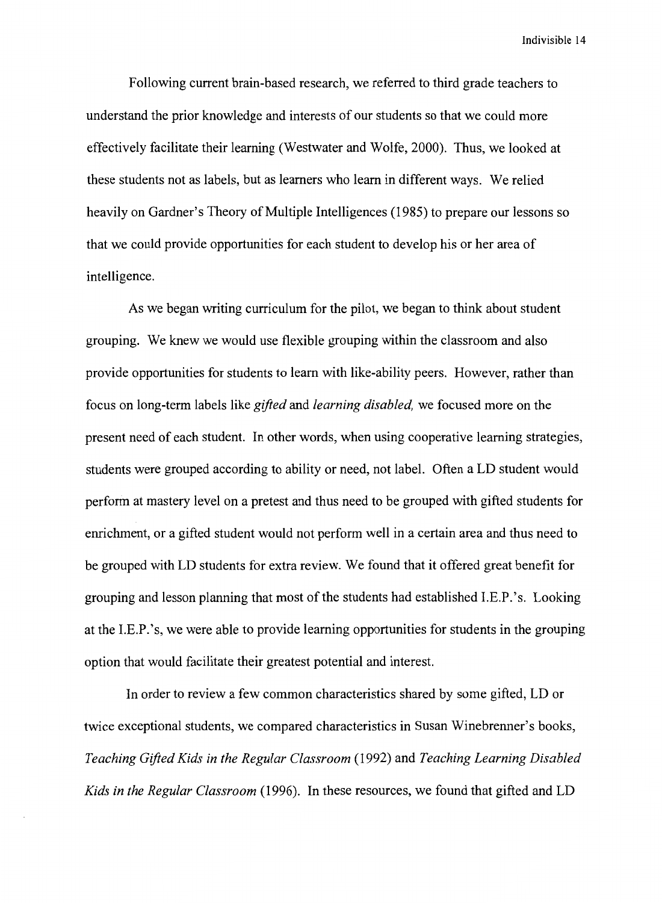Following current brain-based research, we referred to third grade teachers to understand the prior knowledge and interests of our students so that we could more effectively facilitate their learning (Westwater and Wolfe, 2000). Thus, we looked at these students not as labels, but as learners who learn in different ways. We relied heavily on Gardner's Theory of Multiple Intelligences (1985) to prepare our lessons so that we could provide opportunities for each student to develop his or her area of intelligence.

As we began writing curriculum for the pilot, we began to think about student grouping. We knew we would use flexible grouping within the classroom and also provide opportunities for students to learn with like-ability peers. However, rather than focus on long-term labels like *gifted* and *learning disabled,* we focused more on the present need of each student. In other words, when using cooperative learning strategies, students were grouped according to ability or need, not label. Often a LD student would perform at mastery level on a pretest and thus need to be grouped with gifted students for enrichment, or a gifted student would not perform well in a certain area and thus need to be grouped with LD students for extra review. We found that it offered great benefit for grouping and lesson planning that most of the students had established I.E.P.' s. Looking at the I.E.P. 's, we were able to provide learning opportunities for students in the grouping option that would facilitate their greatest potential and interest.

In order to review a few common characteristics shared by some gifted, LD or twice exceptional students, we compared characteristics in Susan Winebrenner's books, *Teaching Gifted Kids in the Regular Classroom* (1992) and *Teaching Learning Disabled Kids in the Regular Classroom* (1996). In these resources, we found that gifted and LD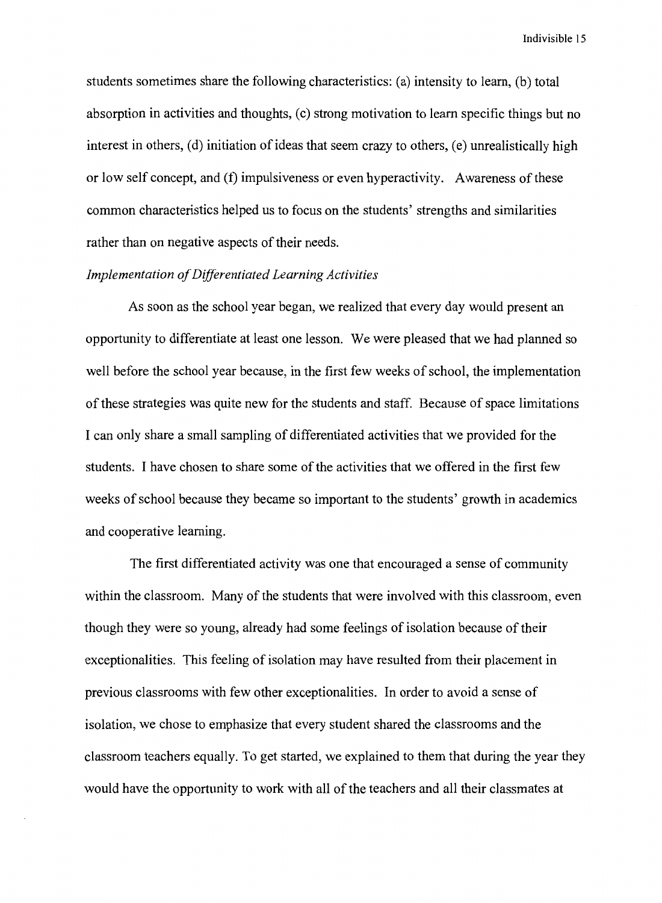students sometimes share the following characteristics: (a) intensity to learn, (b) total absorption in activities and thoughts, (c) strong motivation to learn specific things but no interest in others,  $(d)$  initiation of ideas that seem crazy to others,  $(e)$  unrealistically high or low self concept, and (f) impulsiveness or even hyperactivity. Awareness of these common characteristics helped us to focus on the students' strengths and similarities rather than on negative aspects of their needs.

# *Implementation of Differentiated Learning Activities*

As soon as the school year began, we realized that every day would present an opportunity to differentiate at least one lesson. We were pleased that we had planned so well before the school year because, in the first few weeks of school, the implementation of these strategies was quite new for the students and staff. Because of space limitations I can only share a small sampling of differentiated activities that we provided for the students. I have chosen to share some of the activities that we offered in the first few weeks of school because they became so important to the students' growth in academics and cooperative learning.

The first differentiated activity was one that encouraged a sense of community within the classroom. Many of the students that were involved with this classroom, even though they were so young, already had some feelings of isolation because of their exceptionalities. This feeling of isolation may have resulted from their placement in previous classrooms with few other exceptionalities. In order to avoid a sense of isolation, we chose to emphasize that every student shared the classrooms and the classroom teachers equally. To get started, we explained to them that during the year they would have the opportunity to work with all of the teachers and all their classmates at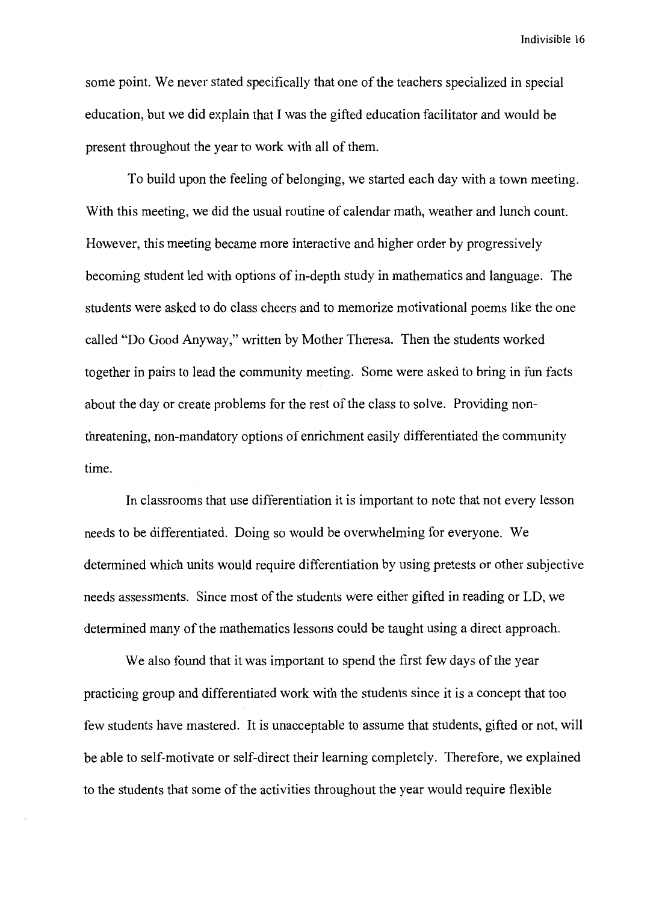some point. We never stated specifically that one of the teachers specialized in special education, but we did explain that I was the gifted education facilitator and would be present throughout the year to work with all of them.

To build upon the feeling of belonging, we started each day with a town meeting. With this meeting, we did the usual routine of calendar math, weather and lunch count. However, this meeting became more interactive and higher order by progressively becoming student led with options of in-depth study in mathematics and language. The students were asked to do class cheers and to memorize motivational poems like the one called "Do Good Anyway," written by Mother Theresa. Then the students worked together in pairs to lead the community meeting. Some were asked to bring in fun facts about the day or create problems for the rest of the class to solve. Providing nonthreatening, non-mandatory options of enrichment easily differentiated the community time.

In classrooms that use differentiation it is important to note that not every lesson needs to be differentiated. Doing so would be overwhelming for everyone. We determined which units would require differentiation by using pretests or other subjective needs assessments. Since most of the students were either gifted in reading or LD, we determined many of the mathematics lessons could be taught using a direct approach.

We also found that it was important to spend the first few days of the year practicing group and differentiated work with the students since it is a concept that too few students have mastered. It is unacceptable to assume that students, gifted or not, will be able to self-motivate or self-direct their learning completely. Therefore, we explained to the students that some of the activities throughout the year would require flexible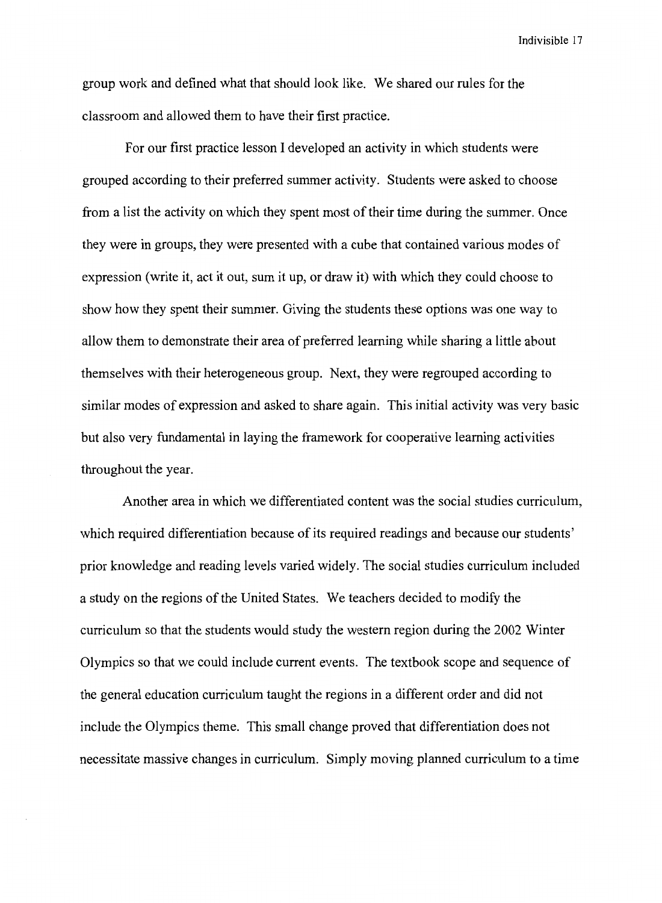group work and defined what that should look like. We shared our rules for the classroom and allowed them to have their first practice.

For our first practice lesson I developed an activity in which students were grouped according to their preferred summer activity. Students were asked to choose from a list the activity on which they spent most of their time during the summer. Once they were in groups, they were presented with a cube that contained various modes of expression (write it, act it out, sum it up, or draw it) with which they could choose to show how they spent their summer. Giving the students these options was one way to allow them to demonstrate their area of preferred learning while sharing a little about themselves with their heterogeneous group. Next, they were regrouped according to similar modes of expression and asked to share again. This initial activity was very basic but also very fundamental in laying the framework for cooperative learning activities throughout the year.

Another area in which we differentiated content was the social studies curriculum, which required differentiation because of its required readings and because our students' prior knowledge and reading levels varied widely. The social studies curriculum included a study on the regions of the United States. We teachers decided to modify the curriculum so that the students would study the western region during the 2002 Winter Olympics so that we could include current events. The textbook scope and sequence of the general education curriculum taught the regions in a different order and did not include the Olympics theme. This small change proved that differentiation does not necessitate massive changes in curriculum. Simply moving planned curriculum to a time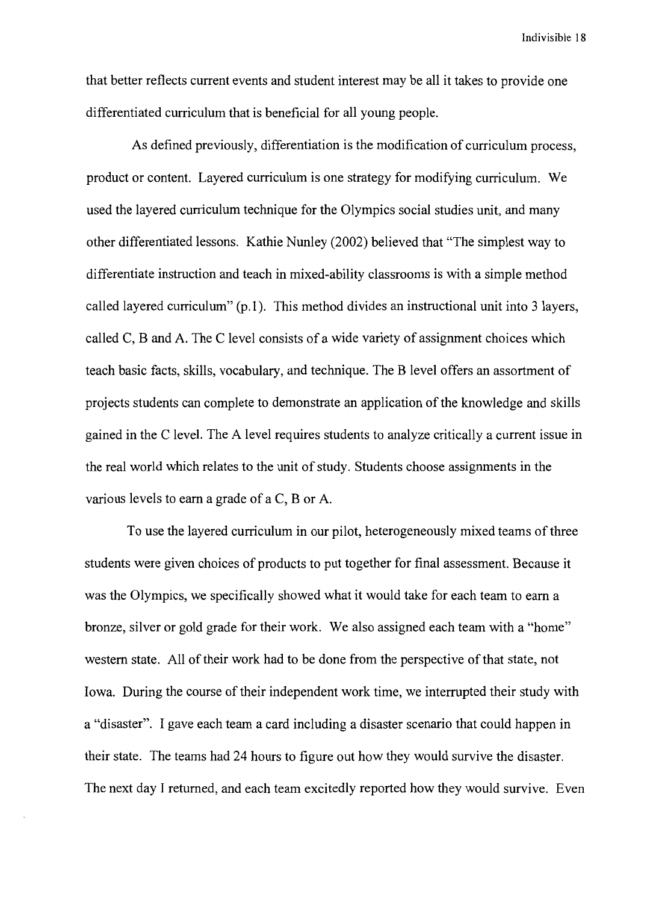that better reflects current events and student interest may be all it takes to provide one differentiated curriculum that is beneficial for all young people.

As defined previously, differentiation is the modification of curriculum process, product or content. Layered curriculum is one strategy for modifying curriculum. We used the layered curriculum technique for the Olympics social studies unit, and many other differentiated lessons. Kathie Nunley (2002) believed that "The simplest way to differentiate instruction and teach in mixed-ability classrooms is with a simple method called layered curriculum" (p.1). This method divides an instructional unit into 3 layers, called C, B and A. The C level consists of a wide variety of assignment choices which teach basic facts, skills, vocabulary, and technique. The B level offers an assortment of projects students can complete to demonstrate an application of the knowledge and skills gained in the C level. The A level requires students to analyze critically a current issue in the real world which relates to the unit of study. Students choose assignments in the various levels to earn a grade of a C, B or A.

To use the layered curriculum in our pilot, heterogeneously mixed teams of three students were given choices of products to put together for final assessment. Because it was the Olympics, we specifically showed what it would take for each team to earn a bronze, silver or gold grade for their work. We also assigned each team with a "home" western state. All of their work had to be done from the perspective of that state, not Iowa. During the course of their independent work time, we interrupted their study with a "disaster". I gave each team a card including a disaster scenario that could happen in their state. The teams had 24 hours to figure out how they would survive the disaster. The next day I returned, and each team excitedly reported how they would survive. Even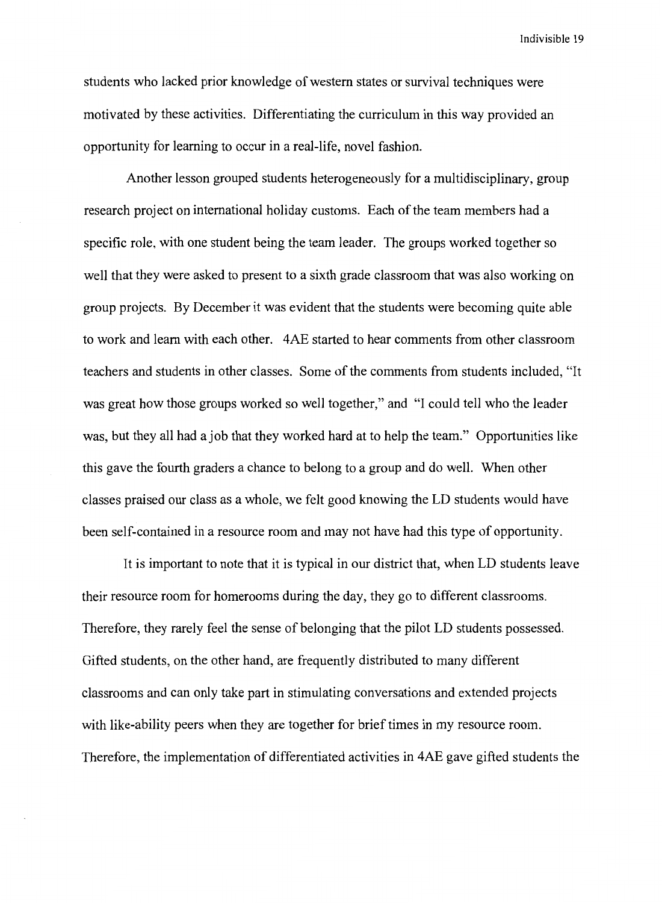students who lacked prior knowledge of western states or survival techniques were motivated by these activities. Differentiating the curriculum in this way provided an opportunity for learning to occur in a real-life, novel fashion.

Another lesson grouped students heterogeneously for a multidisciplinary, group research project on international holiday customs. Each of the team members had a specific role, with one student being the team leader. The groups worked together so well that they were asked to present to a sixth grade classroom that was also working on group projects. By December it was evident that the students were becoming quite able to work and learn with each other. 4AE started to hear comments from other classroom teachers and students in other classes. Some of the comments from students included, "It was great how those groups worked so well together," and "I could tell who the leader was, but they all had a job that they worked hard at to help the team." Opportunities like this gave the fourth graders a chance to belong to a group and do well. When other classes praised our class as a whole, we felt good knowing the LD students would have been self-contained in a resource room and may not have had this type of opportunity.

It is important to note that it is typical in our district that, when LD students leave their resource room for homerooms during the day, they go to different classrooms. Therefore, they rarely feel the sense of belonging that the pilot LD students possessed. Gifted students, on the other hand, are frequently distributed to many different classrooms and can only take part in stimulating conversations and extended projects with like-ability peers when they are together for brief times in my resource room. Therefore, the implementation of differentiated activities in 4AE gave gifted students the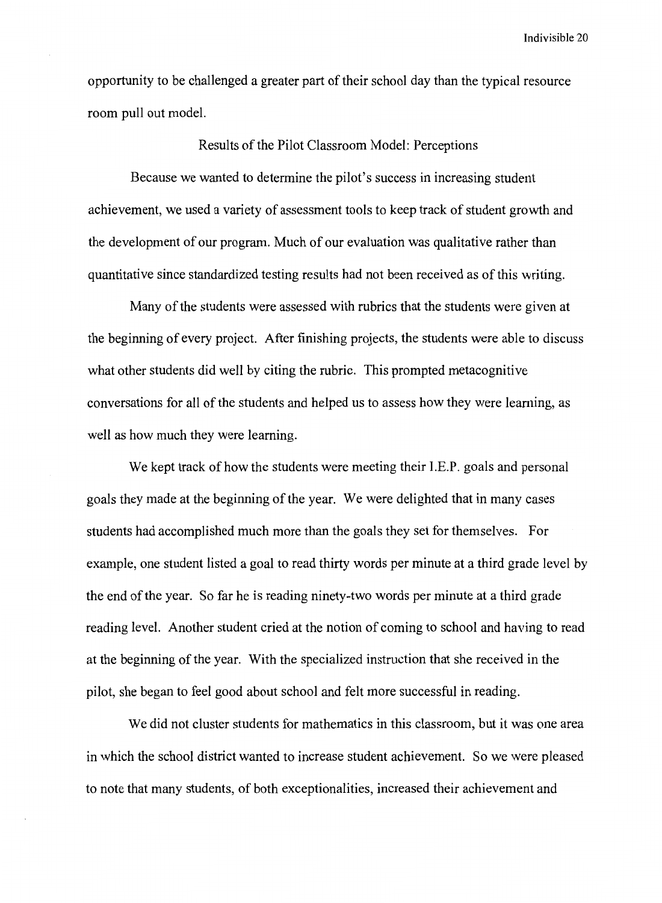opportunity to be challenged a greater part of their school day than the typical resource room pull out model.

Results of the Pilot Classroom Model: Perceptions

Because we wanted to determine the pilot's success in increasing student achievement, we used a variety of assessment tools to keep track of student growth and the development of our program. Much of our evaluation was qualitative rather than quantitative since standardized testing results had not been received as of this writing.

Many of the students were assessed with rubrics that the students were given at the beginning of every project. After finishing projects, the students were able to discuss what other students did well by citing the rubric. This prompted metacognitive conversations for all of the students and helped us to assess how they were learning, as well as how much they were learning.

We kept track of how the students were meeting their l.E.P. goals and personal goals they made at the beginning of the year. We were delighted that in many cases students had accomplished much more than the goals they set for themselves. For example, one student listed a goal to read thirty words per minute at a third grade level by the end of the year. So far he is reading ninety-two words per minute at a third grade reading level. Another student cried at the notion of coming to school and having to read at the beginning of the year. With the specialized instruction that she received in the pilot, she began to feel good about school and felt more successful in reading.

We did not cluster students for mathematics in this classroom, but it was one area in which the school district wanted to increase student achievement. So we were pleased to note that many students, of both exceptionalities, increased their achievement and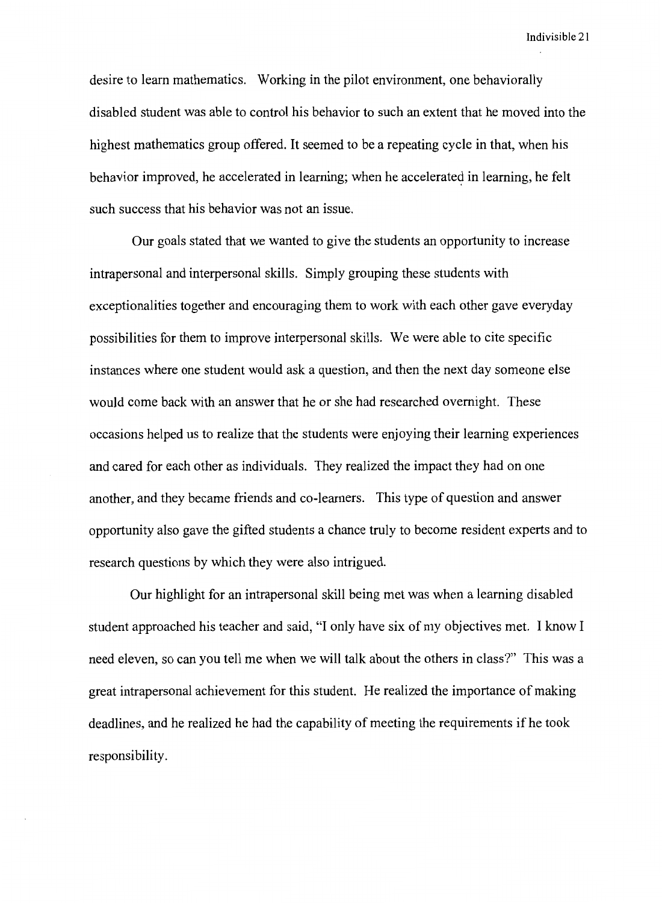desire to learn mathematics. Working in the pilot environment, one behaviorally disabled student was able to control his behavior to such an extent that he moved into the highest mathematics group offered. It seemed to be a repeating cycle in that, when his behavior improved, he accelerated in learning; when he accelerated in learning, he felt such success that his behavior was not an issue.

Our goals stated that we wanted to give the students an opportunity to increase intrapersonal and interpersonal skills. Simply grouping these students with exceptionalities together and encouraging them to work with each other gave everyday possibilities for them to improve interpersonal skills. We were able to cite specific instances where one student would ask a question, and then the next day someone else would come back with an answer that he or she had researched overnight. These occasions helped us to realize that the students were enjoying their learning experiences and cared for each other as individuals. They realized the impact they had on one another, and they became friends and co-learners. This type of question and answer opportunity also gave the gifted students a chance truly to become resident experts and to research questions by which they were also intrigued.

Our highlight for an intrapersonal skill being met was when a learning disabled student approached his teacher and said, "I only have six of my objectives met. I know I need eleven, so can you tell me when we will talk about the others in class?" This was a great intrapersonal achievement for this student. He realized the importance of making deadlines, and he realized he had the capability of meeting the requirements if he took responsibility.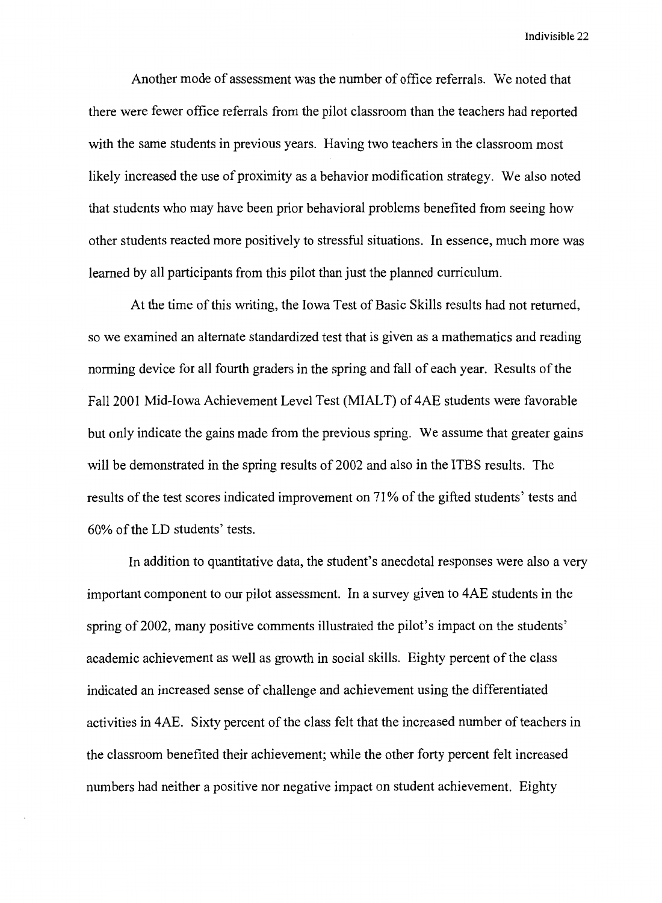Another mode of assessment was the number of office referrals. We noted that there were fewer office referrals from the pilot classroom than the teachers had reported with the same students in previous years. Having two teachers in the classroom most likely increased the use of proximity as a behavior modification strategy. We also noted that students who may have been prior behavioral problems benefited from seeing how other students reacted more positively to stressful situations. In essence, much more was learned by all participants from this pilot than just the planned curriculum.

At the time of this writing, the Iowa Test of Basic Skills results had not returned, so we examined an alternate standardized test that is given as a mathematics and reading norming device for all fourth graders in the spring and fall of each year. Results of the Fall 2001 Mid-Iowa Achievement Level Test (MIALT) of 4AE students were favorable but only indicate the gains made from the previous spring. We assume that greater gains will be demonstrated in the spring results of 2002 and also in the ITBS results. The results of the test scores indicated improvement on 71% of the gifted students' tests and 60% of the LD students' tests.

In addition to quantitative data, the student's anecdotal responses were also a very important component to our pilot assessment. In a survey given to 4AE students in the spring of 2002, many positive comments illustrated the pilot's impact on the students' academic achievement as well as growth in social skills. Eighty percent of the class indicated an increased sense of challenge and achievement using the differentiated activities in 4AE. Sixty percent of the class felt that the increased number of teachers in the classroom benefited their achievement; while the other forty percent felt increased numbers had neither a positive nor negative impact on student achievement. Eighty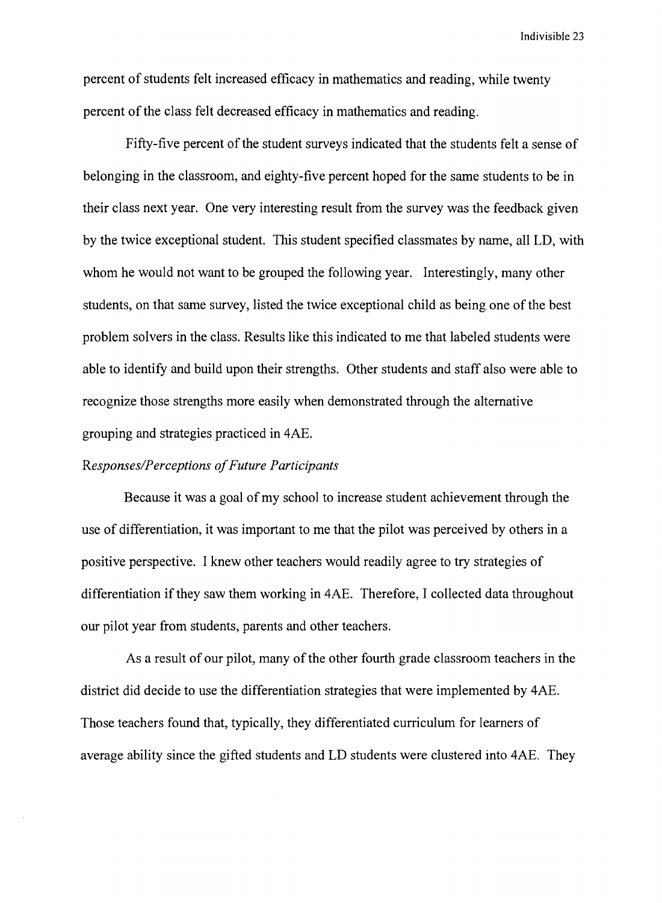percent of students felt increased efficacy in mathematics and reading, while twenty percent of the class felt decreased efficacy in mathematics and reading.

Fifty-five percent of the student surveys indicated that the students felt a sense of belonging in the classroom, and eighty-five percent hoped for the same students to be in their class next year. One very interesting result from the survey was the feedback given by the twice exceptional student. This student specified classmates by name, all LD, with whom he would not want to be grouped the following year. Interestingly, many other students, on that same survey, listed the twice exceptional child as being one of the best problem solvers in the class. Results like this indicated to me that labeled students were able to identify and build upon their strengths. Other students and staff also were able to recognize those strengths more easily when demonstrated through the alternative grouping and strategies practiced in 4AE.

## *Responses/Perceptions of Future Participants*

Because it was a goal of my school to increase student achievement through the use of differentiation, it was important to me that the pilot was perceived by others in a positive perspective. I knew other teachers would readily agree to try strategies of differentiation if they saw them working in 4AE. Therefore, I collected data throughout our pilot year from students, parents and other teachers.

As a result of our pilot, many of the other fourth grade classroom teachers in the district did decide to use the differentiation strategies that were implemented by 4AE. Those teachers found that, typically, they differentiated curriculum for learners of average ability since the gifted students and LD students were clustered into 4AE. They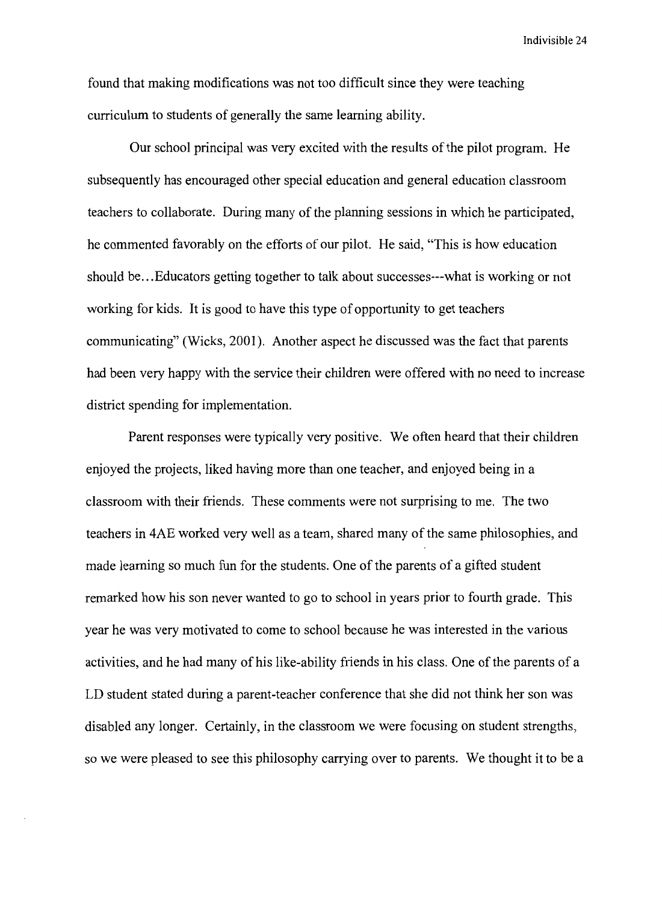found that making modifications was not too difficult since they were teaching curriculum to students of generally the same learning ability.

Our school principal was very excited with the results of the pilot program. He subsequently has encouraged other special education and general education classroom teachers to collaborate. During many of the planning sessions in which he participated, he commented favorably on the efforts of our pilot. He said, "This is how education should be ... Educators getting together to talk about successes---what is working or not working for kids. It is good to have this type of opportunity to get teachers communicating" (Wicks, 2001). Another aspect he discussed was the fact that parents had been very happy with the service their children were offered with no need to increase district spending for implementation.

Parent responses were typically very positive. We often heard that their children enjoyed the projects, liked having more than one teacher, and enjoyed being in a classroom with their friends. These comments were not surprising to me. The two teachers in 4AE worked very well as a team, shared many of the same philosophies, and made learning so much fun for the students. One of the parents of a gifted student remarked how his son never wanted to go to school in years prior to fourth grade. This year he was very motivated to come to school because he was interested in the various activities, and he had many of his like-ability friends in his class. One of the parents of a LD student stated during a parent-teacher conference that she did not think her son was disabled any longer. Certainly, in the classroom we were focusing on student strengths, so we were pleased to see this philosophy carrying over to parents. We thought it to be a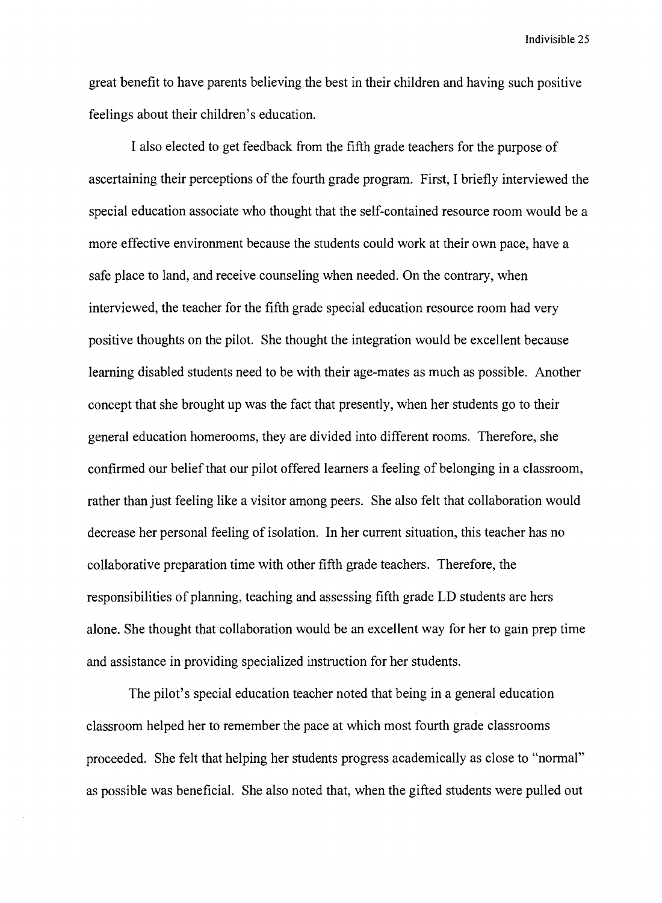great benefit to have parents believing the best in their children and having such positive feelings about their children's education.

I also elected to get feedback from the fifth grade teachers for the purpose of ascertaining their perceptions of the fourth grade program. First, I briefly interviewed the special education associate who thought that the self-contained resource room would be a more effective environment because the students could work at their own pace, have a safe place to land, and receive counseling when needed. On the contrary, when interviewed, the teacher for the fifth grade special education resource room had very positive thoughts on the pilot. She thought the integration would be excellent because learning disabled students need to be with their age-mates as much as possible. Another concept that she brought up was the fact that presently, when her students go to their general education homerooms, they are divided into different rooms. Therefore, she confirmed our belief that our pilot offered learners a feeling of belonging in a classroom, rather than just feeling like a visitor among peers. She also felt that collaboration would decrease her personal feeling of isolation. In her current situation, this teacher has no collaborative preparation time with other fifth grade teachers. Therefore, the responsibilities of planning, teaching and assessing fifth grade LD students are hers alone. She thought that collaboration would be an excellent way for her to gain prep time and assistance in providing specialized instruction for her students.

The pilot's special education teacher noted that being in a general education classroom helped her to remember the pace at which most fourth grade classrooms proceeded. She felt that helping her students progress academically as close to "normal" as possible was beneficial. She also noted that, when the gifted students were pulled out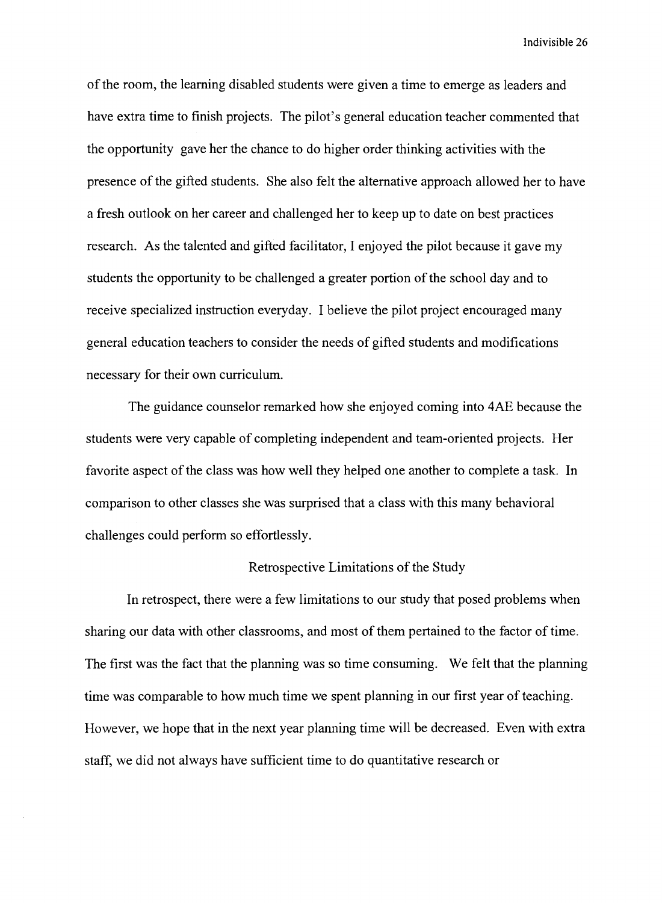of the room, the learning disabled students were given a time to emerge as leaders and have extra time to finish projects. The pilot's general education teacher commented that the opportunity gave her the chance to do higher order thinking activities with the presence of the gifted students. She also felt the alternative approach allowed her to have a fresh outlook on her career and challenged her to keep up to date on best practices research. As the talented and gifted facilitator, I enjoyed the pilot because it gave my students the opportunity to be challenged a greater portion of the school day and to receive specialized instruction everyday. I believe the pilot project encouraged many general education teachers to consider the needs of gifted students and modifications necessary for their own curriculum.

The guidance counselor remarked how she enjoyed coming into 4AE because the students were very capable of completing independent and team-oriented projects. Her favorite aspect of the class was how well they helped one another to complete a task. In comparison to other classes she was surprised that a class with this many behavioral challenges could perform so effortlessly.

#### Retrospective Limitations of the Study

In retrospect, there were a few limitations to our study that posed problems when sharing our data with other classrooms, and most of them pertained to the factor of time. The first was the fact that the planning was so time consuming. We felt that the planning time was comparable to how much time we spent planning in our first year of teaching. However, we hope that in the next year planning time will be decreased. Even with extra staff, we did not always have sufficient time to do quantitative research or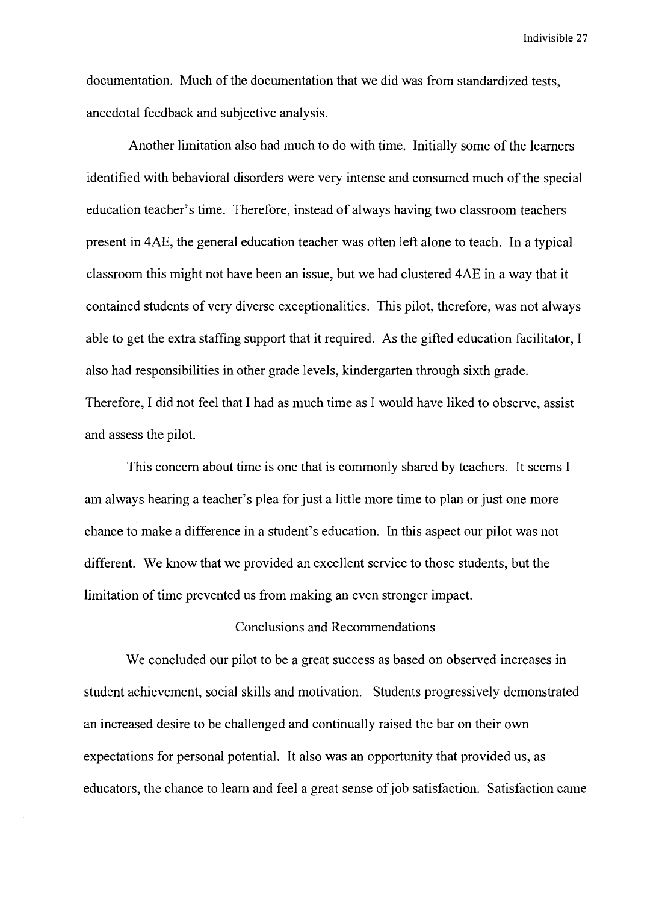documentation. Much of the documentation that we did was from standardized tests, anecdotal feedback and subjective analysis.

Another limitation also had much to do with time. Initially some of the learners identified with behavioral disorders were very intense and consumed much of the special education teacher's time. Therefore, instead of always having two classroom teachers present in 4AE, the general education teacher was often left alone to teach. In a typical classroom this might not have been an issue, but we had clustered 4AE in a way that it contained students of very diverse exceptionalities. This pilot, therefore, was not always able to get the extra staffing support that it required. As the gifted education facilitator, I also had responsibilities in other grade levels, kindergarten through sixth grade. Therefore, I did not feel that I had as much time as I would have liked to observe, assist and assess the pilot.

This concern about time is one that is commonly shared by teachers. It seems I am always hearing a teacher's plea for just a little more time to plan or just one more chance to make a difference in a student's education. In this aspect our pilot was not different. We know that we provided an excellent service to those students, but the limitation of time prevented us from making an even stronger impact.

## Conclusions and Recommendations

We concluded our pilot to be a great success as based on observed increases in student achievement, social skills and motivation. Students progressively demonstrated an increased desire to be challenged and continually raised the bar on their own expectations for personal potential. It also was an opportunity that provided us, as educators, the chance to learn and feel a great sense of job satisfaction. Satisfaction came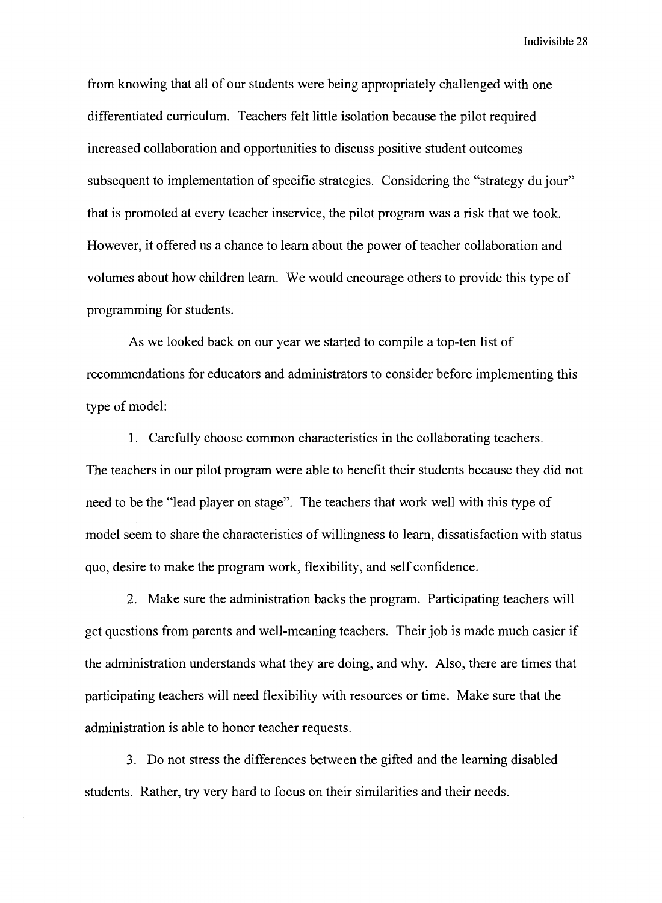from knowing that all of our students were being appropriately challenged with one differentiated curriculum. Teachers felt little isolation because the pilot required increased collaboration and opportunities to discuss positive student outcomes subsequent to implementation of specific strategies. Considering the "strategy du jour" that is promoted at every teacher inservice, the pilot program was a risk that we took. However, it offered us a chance to learn about the power of teacher collaboration and volumes about how children learn. We would encourage others to provide this type of programming for students.

As we looked back on our year we started to compile a top-ten list of recommendations for educators and administrators to consider before implementing this type of model:

1. Carefully choose common characteristics in the collaborating teachers. The teachers in our pilot program were able to benefit their students because they did not need to be the "lead player on stage". The teachers that work well with this type of model seem to share the characteristics of willingness to learn, dissatisfaction with status quo, desire to make the program work, flexibility, and self confidence.

2. Make sure the administration backs the program. Participating teachers will get questions from parents and well-meaning teachers. Their job is made much easier if the administration understands what they are doing, and why. Also, there are times that participating teachers will need flexibility with resources or time. Make sure that the administration is able to honor teacher requests.

3. Do not stress the differences between the gifted and the learning disabled students. Rather, try very hard to focus on their similarities and their needs.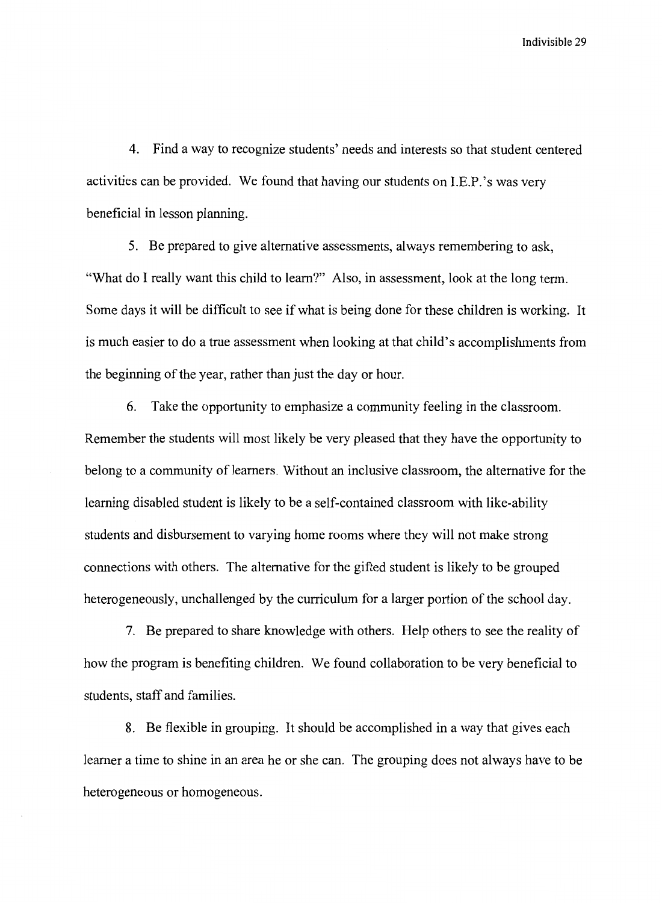4. Find a way to recognize students' needs and interests so that student centered activities can be provided. We found that having our students on I.E.P.'s was very beneficial in lesson planning.

5. Be prepared to give alternative assessments, always remembering to ask, "What do I really want this child to learn?" Also, in assessment, look at the long term. Some days it will be difficult to see if what is being done for these children is working. It is much easier to do a true assessment when looking at that child's accomplishments from the beginning of the year, rather than just the day or hour.

6. Take the opportunity to emphasize a community feeling in the classroom. Remember the students will most likely be very pleased that they have the opportunity to belong to a community of learners. Without an inclusive classroom, the alternative for the learning disabled student is likely to be a self-contained classroom with like-ability students and disbursement to varying home rooms where they will not make strong connections with others. The alternative for the gifted student is likely to be grouped heterogeneously, unchallenged by the curriculum for a larger portion of the school day.

7. Be prepared to share knowledge with others. Help others to see the reality of how the program is benefiting children. We found collaboration to be very beneficial to students, staff and families.

8. Be flexible in grouping. It should be accomplished in a way that gives each learner a time to shine in an area he or she can. The grouping does not always have to be heterogeneous or homogeneous.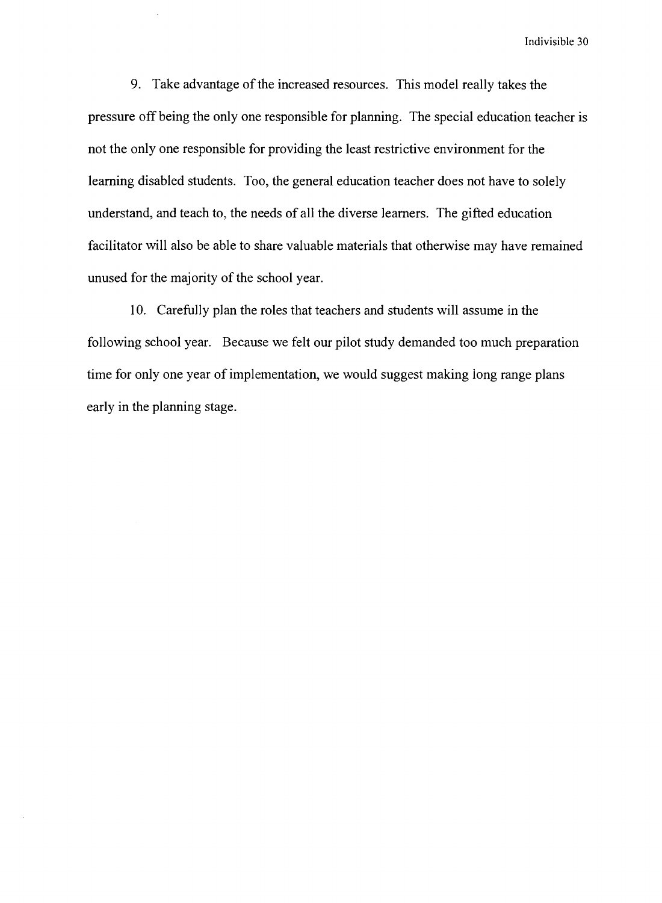9. Take advantage of the increased resources. This model really takes the pressure off being the only one responsible for planning. The special education teacher is not the only one responsible for providing the least restrictive environment for the learning disabled students. Too, the general education teacher does not have to solely understand, and teach to, the needs of all the diverse learners. The gifted education facilitator will also be able to share valuable materials that otherwise may have remained unused for the majority of the school year.

10. Carefully plan the roles that teachers and students will assume in the following school year. Because we felt our pilot study demanded too much preparation time for only one year of implementation, we would suggest making long range plans early in the planning stage.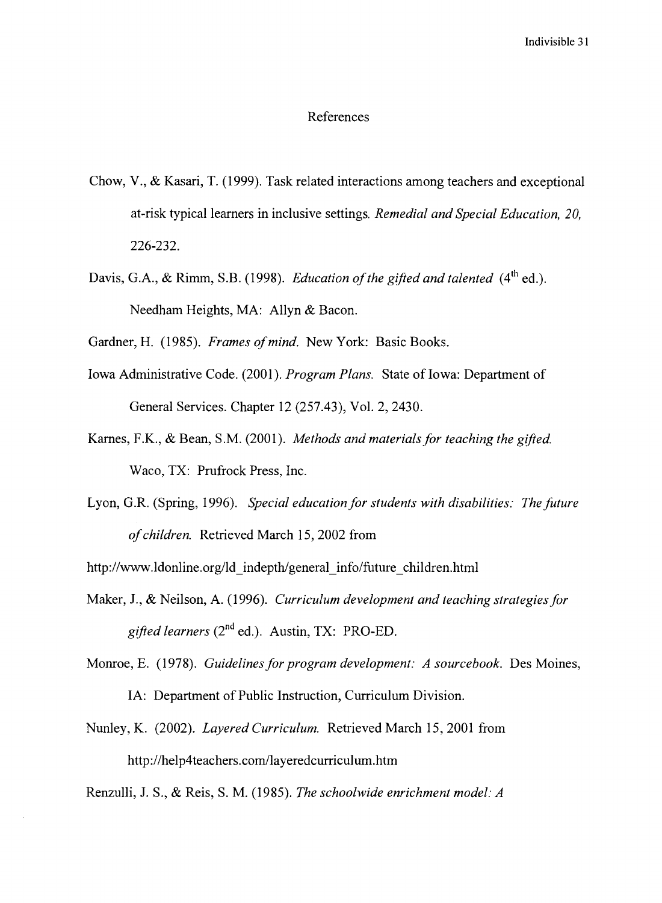#### References

- Chow, V., & Kasari, T. (1999). Task related interactions among teachers and exceptional at-risk typical learners in inclusive settings. *Remedial and Special Education, 20,*  226-232.
- Davis, G.A., & Rimm, S.B. (1998). *Education of the gifted and talented* (4<sup>th</sup> ed.). Needham Heights, MA: Allyn & Bacon.

Gardner, H. (1985). *Frames of mind.* New York: Basic Books.

- Iowa Administrative Code. (2001). *Program Plans.* State of Iowa: Department of General Services. Chapter 12 (257.43), Vol. 2, 2430.
- Karnes, F.K., & Bean, S.M. (2001). *Methods and materials for teaching the gifted.*  Waco, TX: Prufrock Press, Inc.
- Lyon, G.R. (Spring, 1996). *Special education for students with disabilities: The future of children.* Retrieved March 15, 2002 from

http://www.ldonline.org/ld\_indepth/general\_info/future\_children.html

Maker, J., & Neilson, A. (1996). *Curriculum development and teaching strategies for gifted learners* (2nd ed.). Austin, TX: PRO-ED.

Monroe, E. (1978). *Guidelines for program development: A sourcebook.* Des Moines,

IA: Department of Public Instruction, Curriculum Division.

Nunley, K. (2002). *Layered Curriculum.* Retrieved March 15, 2001 from http://help4teachers.com/layeredcurriculum.htm

Renzulli, J. S., & Reis, S. M. (1985). *The schoolwide enrichment model: A*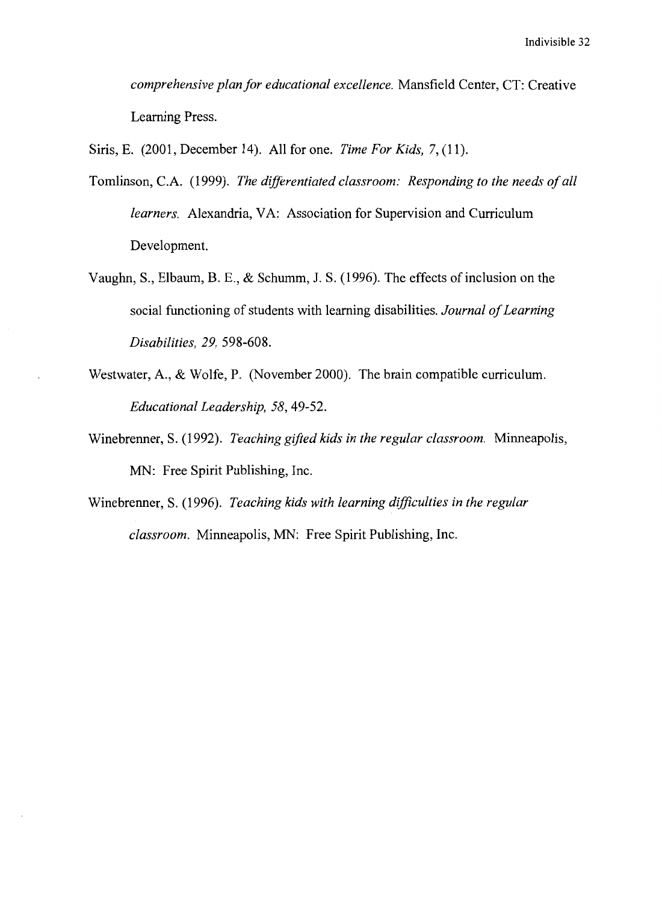*comprehensive plan for educational excellence.* Mansfield Center, CT: Creative Learning Press.

Siris, E. (2001, December 14). All for one. *Time For Kids,* 7, (11).

- Tomlinson, C.A. (1999). *The differentiated classroom: Responding to the needs of all learners.* Alexandria, VA: Association for Supervision and Curriculum Development.
- Vaughn, S., Elbaum, B. E., & Schumm, J. S. (1996). The effects of inclusion on the social functioning of students with learning disabilities. *Journal of Learning Disabilities, 29,* 598-608.
- Westwater, A., & Wolfe, P. (November 2000). The brain compatible curriculum. *Educational Leadership, 58,* 49-52.
- Winebrenner, S. (1992). *Teaching gifted kids in the regular classroom.* Minneapolis, MN: Free Spirit Publishing, Inc.
- Winebrenner, S. (1996). *Teaching kids with learning difficulties in the regular classroom.* Minneapolis, MN: Free Spirit Publishing, Inc.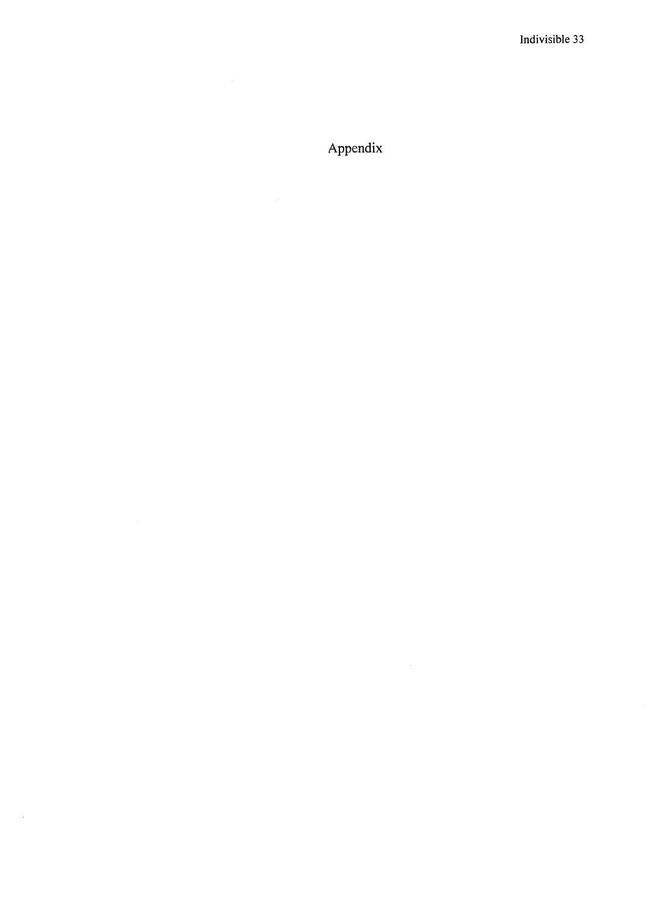# Appendix

 $\sim 10^{-1}$